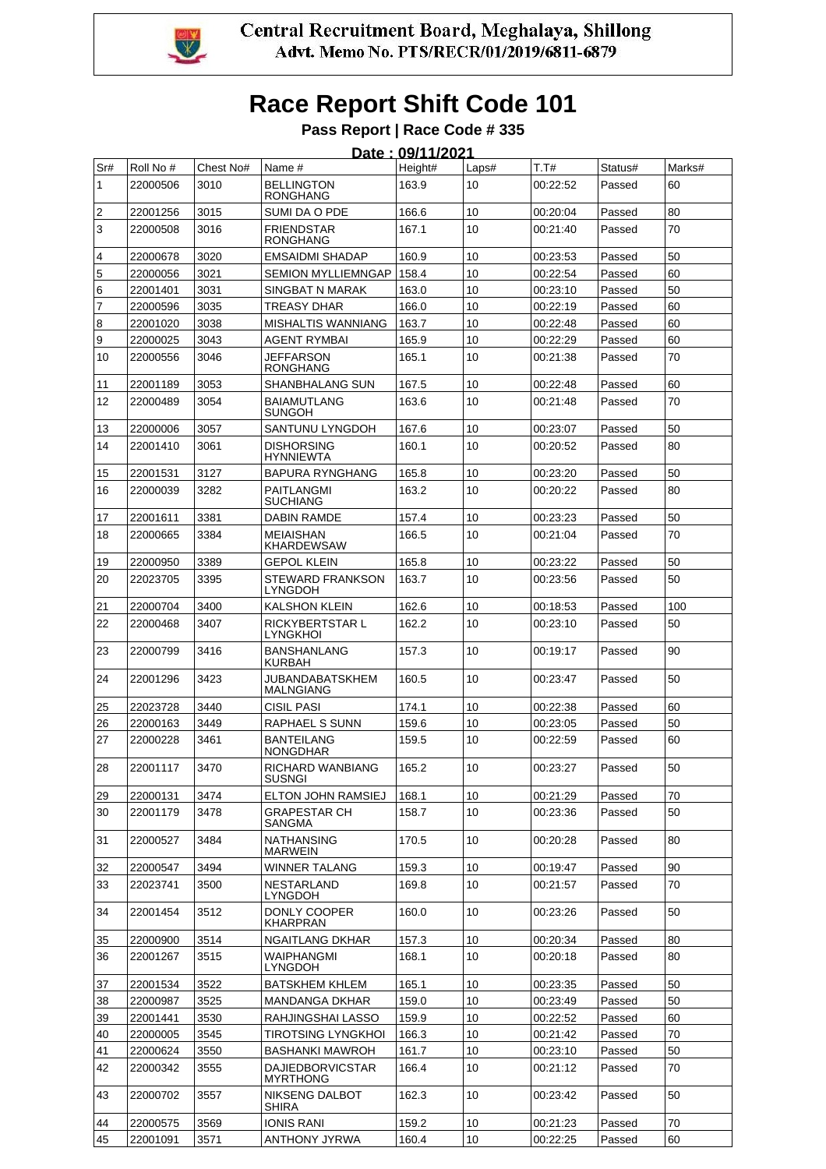

# **Race Report Shift Code 101**

#### **Pass Report | Race Code # 335**

|                   | Date: 09/11/2021 |           |                                       |         |       |          |         |        |  |  |
|-------------------|------------------|-----------|---------------------------------------|---------|-------|----------|---------|--------|--|--|
| Sr#               | Roll No #        | Chest No# | Name #                                | Height# | Laps# | T.T#     | Status# | Marks# |  |  |
| 1                 | 22000506         | 3010      | <b>BELLINGTON</b><br><b>RONGHANG</b>  | 163.9   | 10    | 00:22:52 | Passed  | 60     |  |  |
| 2                 | 22001256         | 3015      | SUMI DA O PDE                         | 166.6   | 10    | 00:20:04 | Passed  | 80     |  |  |
| 3                 | 22000508         | 3016      | <b>FRIENDSTAR</b><br><b>RONGHANG</b>  | 167.1   | 10    | 00:21:40 | Passed  | 70     |  |  |
| 4                 | 22000678         | 3020      | <b>EMSAIDMI SHADAP</b>                | 160.9   | 10    | 00:23:53 | Passed  | 50     |  |  |
| 5                 | 22000056         | 3021      | <b>SEMION MYLLIEMNGAP</b>             | 158.4   | 10    | 00:22:54 | Passed  | 60     |  |  |
| 6                 | 22001401         | 3031      | <b>SINGBAT N MARAK</b>                | 163.0   | 10    | 00:23:10 | Passed  | 50     |  |  |
| $\overline{7}$    | 22000596         | 3035      | TREASY DHAR                           | 166.0   | 10    | 00:22:19 | Passed  | 60     |  |  |
| 8                 | 22001020         | 3038      | <b>MISHALTIS WANNIANG</b>             | 163.7   | 10    | 00:22:48 | Passed  | 60     |  |  |
| 9                 | 22000025         | 3043      | AGENT RYMBAI                          | 165.9   | 10    | 00:22:29 | Passed  | 60     |  |  |
| 10                | 22000556         | 3046      | JEFFARSON<br><b>RONGHANG</b>          | 165.1   | 10    | 00:21:38 | Passed  | 70     |  |  |
| 11                | 22001189         | 3053      | SHANBHALANG SUN                       | 167.5   | 10    | 00:22:48 | Passed  | 60     |  |  |
| $12 \overline{ }$ | 22000489         | 3054      | <b>BAIAMUTLANG</b><br>SUNGOH          | 163.6   | 10    | 00:21:48 | Passed  | 70     |  |  |
| 13                | 22000006         | 3057      | SANTUNU LYNGDOH                       | 167.6   | 10    | 00:23:07 | Passed  | 50     |  |  |
| 14                | 22001410         | 3061      | <b>DISHORSING</b><br><b>HYNNIEWTA</b> | 160.1   | 10    | 00:20:52 | Passed  | 80     |  |  |
| 15                | 22001531         | 3127      | <b>BAPURA RYNGHANG</b>                | 165.8   | 10    | 00:23:20 | Passed  | 50     |  |  |
| 16                | 22000039         | 3282      | PAITLANGMI<br><b>SUCHIANG</b>         | 163.2   | 10    | 00:20:22 | Passed  | 80     |  |  |
| 17                | 22001611         | 3381      | <b>DABIN RAMDE</b>                    | 157.4   | 10    | 00:23:23 | Passed  | 50     |  |  |
| 18                | 22000665         | 3384      | <b>MFIAISHAN</b><br><b>KHARDEWSAW</b> | 166.5   | 10    | 00:21:04 | Passed  | 70     |  |  |
| 19                | 22000950         | 3389      | <b>GEPOL KLEIN</b>                    | 165.8   | 10    | 00:23:22 | Passed  | 50     |  |  |
| 20                | 22023705         | 3395      | STEWARD FRANKSON<br><b>LYNGDOH</b>    | 163.7   | 10    | 00:23:56 | Passed  | 50     |  |  |
| 21                | 22000704         | 3400      | <b>KALSHON KLEIN</b>                  | 162.6   | 10    | 00:18:53 | Passed  | 100    |  |  |
| 22                | 22000468         | 3407      | <b>RICKYBERTSTAR L</b><br>LYNGKHOI    | 162.2   | 10    | 00:23:10 | Passed  | 50     |  |  |
| 23                | 22000799         | 3416      | <b>BANSHANLANG</b><br>KURBAH          | 157.3   | 10    | 00:19:17 | Passed  | 90     |  |  |
| 24                | 22001296         | 3423      | JUBANDABATSKHEM<br>MALNGIANG          | 160.5   | 10    | 00:23:47 | Passed  | 50     |  |  |
| 25                | 22023728         | 3440      | <b>CISIL PASI</b>                     | 174.1   | 10    | 00:22:38 | Passed  | 60     |  |  |
| 26                | 22000163         | 3449      | RAPHAEL S SUNN                        | 159.6   | 10    | 00:23:05 | Passed  | 50     |  |  |
| 27                | 22000228         | 3461      | <b>BANTEILANG</b><br><b>NONGDHAR</b>  | 159.5   | 10    | 00:22:59 | Passed  | 60     |  |  |
| 28                | 22001117         | 3470      | RICHARD WANBIANG<br><b>SUSNGI</b>     | 165.2   | 10    | 00:23:27 | Passed  | 50     |  |  |
| 29                | 22000131         | 3474      | ELTON JOHN RAMSIEJ                    | 168.1   | 10    | 00:21:29 | Passed  | 70     |  |  |
| 30                | 22001179         | 3478      | <b>GRAPESTAR CH</b><br>SANGMA         | 158.7   | 10    | 00:23:36 | Passed  | 50     |  |  |
| 31                | 22000527         | 3484      | NATHANSING<br><b>MARWEIN</b>          | 170.5   | 10    | 00:20:28 | Passed  | 80     |  |  |
| 32                | 22000547         | 3494      | WINNER TALANG                         | 159.3   | 10    | 00:19:47 | Passed  | 90     |  |  |
| 33                | 22023741         | 3500      | <b>NESTARLAND</b><br>LYNGDOH          | 169.8   | 10    | 00:21:57 | Passed  | 70     |  |  |
| 34                | 22001454         | 3512      | DONLY COOPER<br><b>KHARPRAN</b>       | 160.0   | 10    | 00:23:26 | Passed  | 50     |  |  |
| 35                | 22000900         | 3514      | NGAITLANG DKHAR                       | 157.3   | 10    | 00:20:34 | Passed  | 80     |  |  |
| 36                | 22001267         | 3515      | WAIPHANGMI<br>LYNGDOH                 | 168.1   | 10    | 00:20:18 | Passed  | 80     |  |  |
| 37                | 22001534         | 3522      | <b>BATSKHEM KHLEM</b>                 | 165.1   | 10    | 00:23:35 | Passed  | 50     |  |  |
| 38                | 22000987         | 3525      | <b>MANDANGA DKHAR</b>                 | 159.0   | 10    | 00:23:49 | Passed  | 50     |  |  |
| 39                | 22001441         | 3530      | RAHJINGSHAI LASSO                     | 159.9   | 10    | 00:22:52 | Passed  | 60     |  |  |
| 40                | 22000005         | 3545      | <b>TIROTSING LYNGKHOI</b>             | 166.3   | 10    | 00:21:42 | Passed  | 70     |  |  |
| 41                | 22000624         | 3550      | <b>BASHANKI MAWROH</b>                | 161.7   | 10    | 00:23:10 | Passed  | 50     |  |  |
| 42                | 22000342         | 3555      | <b>DAJIEDBORVICSTAR</b><br>MYRTHONG   | 166.4   | 10    | 00:21:12 | Passed  | 70     |  |  |
| 43                | 22000702         | 3557      | NIKSENG DALBOT<br><b>SHIRA</b>        | 162.3   | 10    | 00:23:42 | Passed  | 50     |  |  |
| 44                | 22000575         | 3569      | <b>IONIS RANI</b>                     | 159.2   | 10    | 00:21:23 | Passed  | 70     |  |  |
| 45                | 22001091         | 3571      | <b>ANTHONY JYRWA</b>                  | 160.4   | 10    | 00:22:25 | Passed  | 60     |  |  |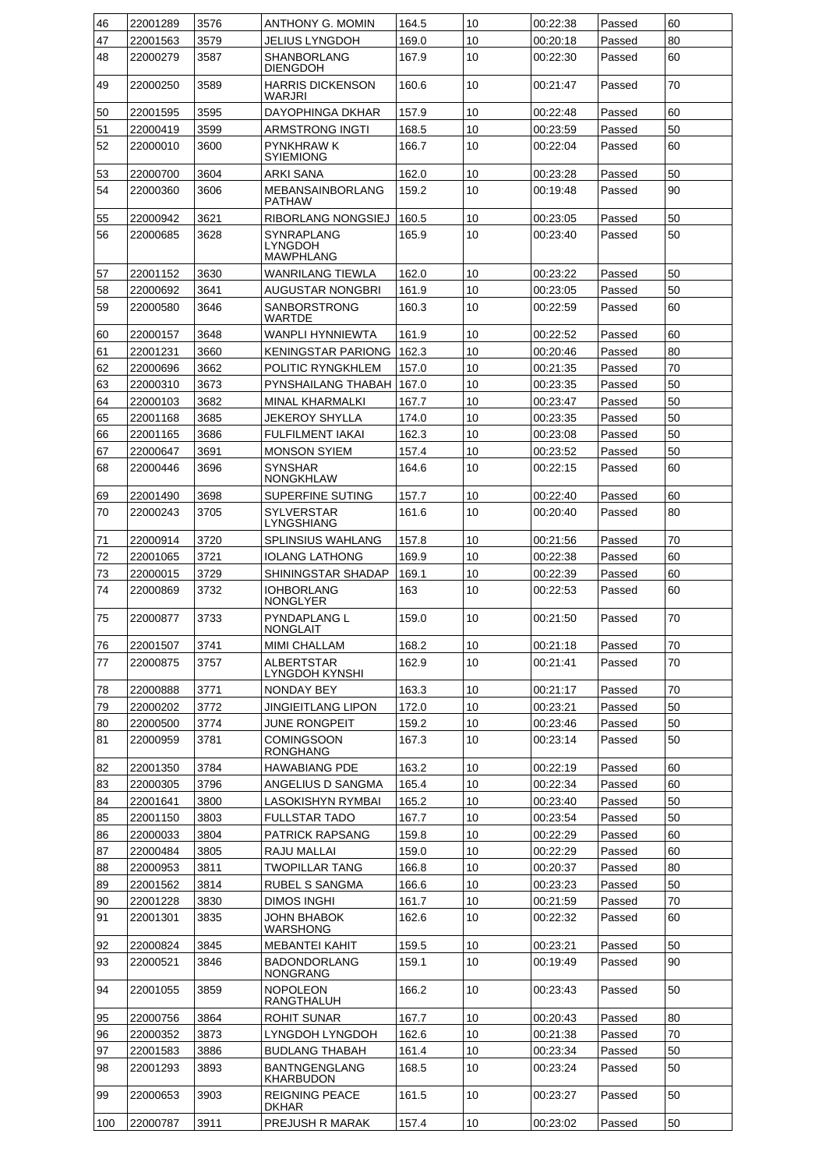| 46       | 22001289             | 3576         | ANTHONY G. MOMIN                                 | 164.5          | 10       | 00:22:38             | Passed           | 60       |
|----------|----------------------|--------------|--------------------------------------------------|----------------|----------|----------------------|------------------|----------|
| 47       | 22001563             | 3579         | JELIUS LYNGDOH                                   | 169.0          | 10       | 00:20:18             | Passed           | 80       |
| 48       | 22000279             | 3587         | <b>SHANBORLANG</b><br>DIENGDOH                   | 167.9          | 10       | 00:22:30             | Passed           | 60       |
| 49       | 22000250             | 3589         | <b>HARRIS DICKENSON</b><br>WARJRI                | 160.6          | 10       | 00:21:47             | Passed           | 70       |
| 50       | 22001595             | 3595         | DAYOPHINGA DKHAR                                 | 157.9          | 10       | 00:22:48             | Passed           | 60       |
| 51       | 22000419             | 3599         | ARMSTRONG INGTI                                  | 168.5          | 10       | 00:23:59             | Passed           | 50       |
| 52       | 22000010             | 3600         | PYNKHRAW K<br>SYIEMIONG                          | 166.7          | 10       | 00:22:04             | Passed           | 60       |
| 53       | 22000700             | 3604         | ARKI SANA                                        | 162.0          | 10       | 00:23:28             | Passed           | 50       |
| 54       | 22000360             | 3606         | <b>MEBANSAINBORLANG</b><br><b>PATHAW</b>         | 159.2          | 10       | 00:19:48             | Passed           | 90       |
| 55       | 22000942             | 3621         | RIBORLANG NONGSIEJ                               | 160.5          | 10       | 00:23:05             | Passed           | 50       |
| 56       | 22000685             | 3628         | SYNRAPLANG<br><b>LYNGDOH</b><br><b>MAWPHLANG</b> | 165.9          | 10       | 00:23:40             | Passed           | 50       |
| 57       | 22001152             | 3630         | WANRILANG TIEWLA                                 | 162.0          | 10       | 00:23:22             | Passed           | 50       |
| 58       | 22000692             | 3641         | <b>AUGUSTAR NONGBRI</b>                          | 161.9          | 10       | 00:23:05             | Passed           | 50       |
| 59       | 22000580             | 3646         | SANBORSTRONG<br>WARTDE                           | 160.3          | 10       | 00:22:59             | Passed           | 60       |
| 60       | 22000157             | 3648         | WANPLI HYNNIEWTA                                 | 161.9          | 10       | 00:22:52             | Passed           | 60       |
| 61       | 22001231             | 3660         | <b>KENINGSTAR PARIONG</b>                        | 162.3          | 10       | 00:20:46             | Passed           | 80       |
| 62       | 22000696             | 3662         | POLITIC RYNGKHLEM                                | 157.0          | 10       | 00:21:35             | Passed           | 70       |
| 63       | 22000310             | 3673         | PYNSHAILANG THABAH                               | 167.0          | 10       | 00:23:35             | Passed           | 50       |
| 64       | 22000103             | 3682         | MINAL KHARMALKI                                  | 167.7          | 10       | 00:23:47             | Passed           | 50       |
| 65       | 22001168             | 3685         | <b>JEKEROY SHYLLA</b>                            | 174.0          | 10       | 00:23:35             | Passed           | 50       |
| 66       | 22001165             | 3686         | FULFILMENT IAKAI                                 | 162.3          | 10       | 00:23:08             | Passed           | 50       |
| 67       | 22000647             | 3691         | <b>MONSON SYIEM</b>                              | 157.4          | 10       | 00:23:52             | Passed           | 50       |
| 68       | 22000446             | 3696         | SYNSHAR<br>NONGKHLAW                             | 164.6          | 10       | 00:22:15             | Passed           | 60       |
| 69       | 22001490             | 3698         | SUPERFINE SUTING                                 | 157.7          | 10       | 00:22:40             | Passed           | 60       |
| 70       | 22000243             | 3705         | <b>SYLVERSTAR</b><br>LYNGSHIANG                  | 161.6          | 10       | 00:20:40             | Passed           | 80       |
| 71       | 22000914             | 3720         | <b>SPLINSIUS WAHLANG</b>                         | 157.8          | 10       | 00:21:56             | Passed           | 70       |
| 72       | 22001065             | 3721         | <b>IOLANG LATHONG</b>                            | 169.9          | 10       | 00:22:38             | Passed           | 60       |
| 73       | 22000015             | 3729         | SHININGSTAR SHADAP                               | 169.1          | 10       | 00:22:39             | Passed           | 60       |
| 74       | 22000869             | 3732         | <b>IOHBORLANG</b><br>NONGLYER                    | 163            | 10       | 00:22:53             | Passed           | 60       |
| 75       | 22000877             | 3733         | PYNDAPLANG L<br>NONGLAIT                         | 159.0          | 10       | 00:21:50             | Passed           | 70       |
| 76       | 22001507             | 3741         | <b>MIMI CHALLAM</b>                              | 168.2          | 10       | 00:21:18             | Passed           | 70       |
| 77       | 22000875             | 3757         | ALBERTSTAR<br>LYNGDOH KYNSHI                     | 162.9          | 10       | 00:21:41             | Passed           | 70       |
| 78       | 22000888             | 3771         | NONDAY BEY                                       | 163.3          | 10       | 00:21:17             | Passed           | 70       |
| 79       | 22000202             | 3772         | JINGIEITLANG LIPON                               | 172.0          | 10       | 00:23:21             | Passed           | 50       |
| 80       | 22000500             | 3774         | JUNE RONGPEIT                                    | 159.2          | 10       | 00:23:46             | Passed           | 50       |
| 81       | 22000959             | 3781         | COMINGSOON<br>RONGHANG                           | 167.3          | 10       | 00:23:14             | Passed           | 50       |
| 82       | 22001350             | 3784         | <b>HAWABIANG PDE</b>                             | 163.2          | 10       | 00:22:19             | Passed           | 60       |
| 83       | 22000305             | 3796         | ANGELIUS D SANGMA                                | 165.4          | 10       | 00:22:34             | Passed           | 60       |
| 84       | 22001641             | 3800         | LASOKISHYN RYMBAI                                | 165.2          | 10       | 00:23:40             | Passed           | 50       |
| 85       | 22001150             | 3803         | <b>FULLSTAR TADO</b>                             | 167.7          | 10       | 00:23:54             | Passed           | 50       |
| 86       | 22000033             | 3804         | PATRICK RAPSANG                                  | 159.8          | 10       | 00:22:29             | Passed           | 60       |
| 87<br>88 | 22000484<br>22000953 | 3805<br>3811 | RAJU MALLAI<br>TWOPILLAR TANG                    | 159.0<br>166.8 | 10<br>10 | 00:22:29<br>00:20:37 | Passed<br>Passed | 60<br>80 |
| 89       | 22001562             | 3814         | RUBEL S SANGMA                                   | 166.6          | 10       | 00:23:23             | Passed           | 50       |
| 90       | 22001228             | 3830         | <b>DIMOS INGHI</b>                               | 161.7          | 10       | 00:21:59             | Passed           | 70       |
| 91       | 22001301             | 3835         | JOHN BHABOK                                      | 162.6          | 10       | 00:22:32             | Passed           | 60       |
| 92       | 22000824             | 3845         | WARSHONG<br><b>MEBANTEI KAHIT</b>                | 159.5          | 10       | 00:23:21             | Passed           | 50       |
| 93       | 22000521             | 3846         | <b>BADONDORLANG</b>                              | 159.1          | 10       | 00:19:49             | Passed           | 90       |
| 94       | 22001055             | 3859         | NONGRANG<br>NOPOLEON                             | 166.2          | 10       | 00:23:43             | Passed           | 50       |
|          |                      |              | RANGTHALUH                                       |                |          |                      |                  |          |
| 95       | 22000756             | 3864         | ROHIT SUNAR                                      | 167.7          | 10       | 00:20:43             | Passed           | 80       |
| 96       | 22000352             | 3873         | LYNGDOH LYNGDOH                                  | 162.6          | 10       | 00:21:38             | Passed           | 70       |
| 97       | 22001583             | 3886         | <b>BUDLANG THABAH</b>                            | 161.4          | 10       | 00:23:34             | Passed           | 50       |
| 98       | 22001293             | 3893         | BANTNGENGLANG<br><b>KHARBUDON</b>                | 168.5          | 10       | 00:23:24             | Passed           | 50       |
| 99       | 22000653             | 3903         | <b>REIGNING PEACE</b><br><b>DKHAR</b>            | 161.5          | 10       | 00:23:27             | Passed           | 50       |
| 100      | 22000787             | 3911         | PREJUSH R MARAK                                  | 157.4          | 10       | 00:23:02             | Passed           | 50       |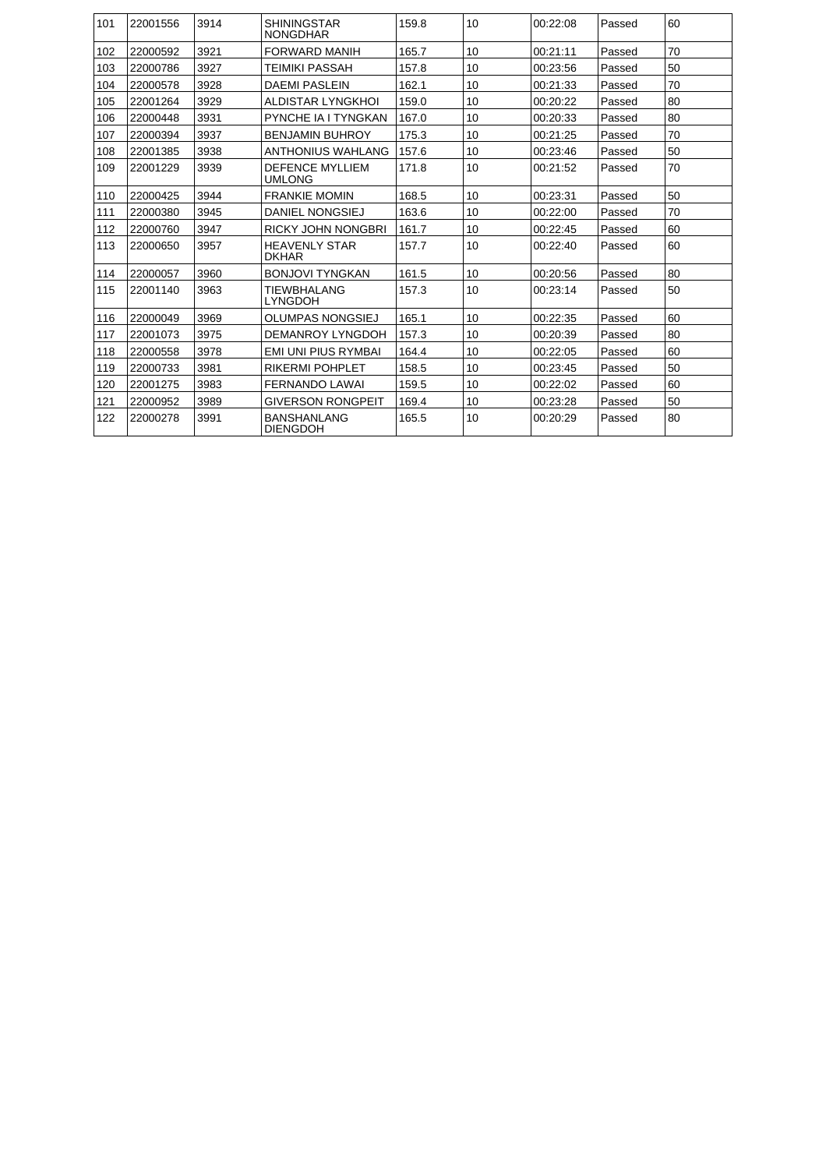| 101 | 22001556 | 3914 | <b>SHININGSTAR</b><br><b>NONGDHAR</b>   | 159.8 | 10 | 00:22:08 | Passed | 60 |
|-----|----------|------|-----------------------------------------|-------|----|----------|--------|----|
| 102 | 22000592 | 3921 | <b>FORWARD MANIH</b>                    | 165.7 | 10 | 00:21:11 | Passed | 70 |
| 103 | 22000786 | 3927 | <b>TEIMIKI PASSAH</b>                   | 157.8 | 10 | 00:23:56 | Passed | 50 |
| 104 | 22000578 | 3928 | <b>DAEMI PASLEIN</b>                    | 162.1 | 10 | 00:21:33 | Passed | 70 |
| 105 | 22001264 | 3929 | <b>ALDISTAR LYNGKHOL</b>                | 159.0 | 10 | 00:20:22 | Passed | 80 |
| 106 | 22000448 | 3931 | PYNCHE IA I TYNGKAN                     | 167.0 | 10 | 00:20:33 | Passed | 80 |
| 107 | 22000394 | 3937 | <b>BENJAMIN BUHROY</b>                  | 175.3 | 10 | 00:21:25 | Passed | 70 |
| 108 | 22001385 | 3938 | <b>ANTHONIUS WAHLANG</b>                | 157.6 | 10 | 00:23:46 | Passed | 50 |
| 109 | 22001229 | 3939 | <b>DEFENCE MYLLIEM</b><br><b>UMLONG</b> | 171.8 | 10 | 00:21:52 | Passed | 70 |
| 110 | 22000425 | 3944 | <b>FRANKIE MOMIN</b>                    | 168.5 | 10 | 00:23:31 | Passed | 50 |
| 111 | 22000380 | 3945 | DANIEL NONGSIEJ                         | 163.6 | 10 | 00:22:00 | Passed | 70 |
| 112 | 22000760 | 3947 | <b>RICKY JOHN NONGBRI</b>               | 161.7 | 10 | 00:22:45 | Passed | 60 |
| 113 | 22000650 | 3957 | <b>HEAVENLY STAR</b><br><b>DKHAR</b>    | 157.7 | 10 | 00:22:40 | Passed | 60 |
| 114 | 22000057 | 3960 | <b>BONJOVI TYNGKAN</b>                  | 161.5 | 10 | 00:20:56 | Passed | 80 |
| 115 | 22001140 | 3963 | <b>TIEWBHALANG</b><br><b>LYNGDOH</b>    | 157.3 | 10 | 00:23:14 | Passed | 50 |
| 116 | 22000049 | 3969 | <b>OLUMPAS NONGSIEJ</b>                 | 165.1 | 10 | 00:22:35 | Passed | 60 |
| 117 | 22001073 | 3975 | DEMANROY LYNGDOH                        | 157.3 | 10 | 00:20:39 | Passed | 80 |
| 118 | 22000558 | 3978 | <b>EMI UNI PIUS RYMBAI</b>              | 164.4 | 10 | 00:22:05 | Passed | 60 |
| 119 | 22000733 | 3981 | <b>RIKERMI POHPLET</b>                  | 158.5 | 10 | 00:23:45 | Passed | 50 |
| 120 | 22001275 | 3983 | <b>FERNANDO LAWAI</b>                   | 159.5 | 10 | 00:22:02 | Passed | 60 |
| 121 | 22000952 | 3989 | <b>GIVERSON RONGPEIT</b>                | 169.4 | 10 | 00:23:28 | Passed | 50 |
| 122 | 22000278 | 3991 | <b>BANSHANLANG</b><br><b>DIENGDOH</b>   | 165.5 | 10 | 00:20:29 | Passed | 80 |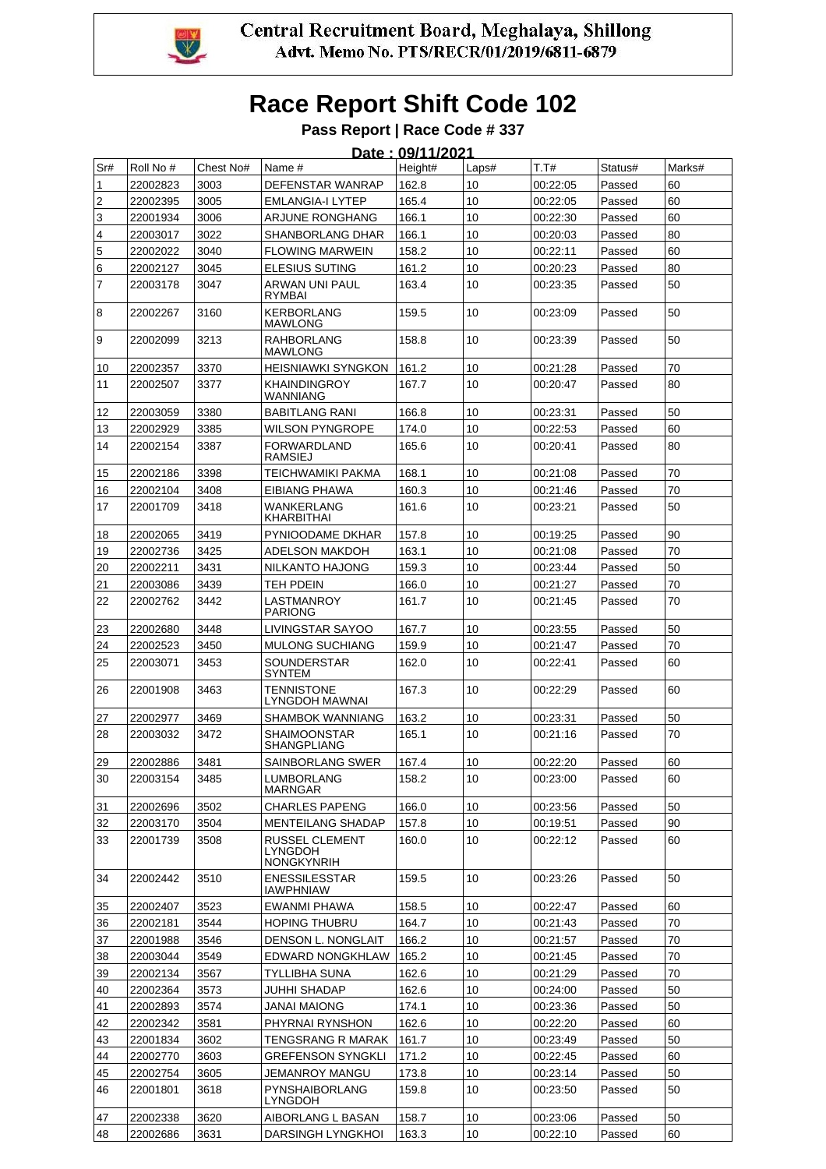

# **Race Report Shift Code 102**

**Pass Report | Race Code # 337**

|     | Date: 09/11/2021 |           |                                                |         |                 |          |         |        |  |  |
|-----|------------------|-----------|------------------------------------------------|---------|-----------------|----------|---------|--------|--|--|
| Sr# | Roll No #        | Chest No# | Name #                                         | Height# | Laps#           | T.T#     | Status# | Marks# |  |  |
| 1   | 22002823         | 3003      | <b>DEFENSTAR WANRAP</b>                        | 162.8   | 10              | 00:22:05 | Passed  | 60     |  |  |
| 2   | 22002395         | 3005      | <b>EMLANGIA-I LYTEP</b>                        | 165.4   | 10              | 00:22:05 | Passed  | 60     |  |  |
| 3   | 22001934         | 3006      | ARJUNE RONGHANG                                | 166.1   | 10              | 00:22:30 | Passed  | 60     |  |  |
| 4   | 22003017         | 3022      | <b>SHANBORLANG DHAR</b>                        | 166.1   | 10              | 00:20:03 | Passed  | 80     |  |  |
| 5   | 22002022         | 3040      | <b>FLOWING MARWEIN</b>                         | 158.2   | 10              | 00:22:11 | Passed  | 60     |  |  |
| 6   | 22002127         | 3045      | <b>ELESIUS SUTING</b>                          | 161.2   | 10              | 00:20:23 | Passed  | 80     |  |  |
| 7   | 22003178         | 3047      | ARWAN UNI PAUL<br><b>RYMBAI</b>                | 163.4   | 10              | 00:23:35 | Passed  | 50     |  |  |
| 8   | 22002267         | 3160      | <b>KERBORLANG</b><br><b>MAWLONG</b>            | 159.5   | 10              | 00:23:09 | Passed  | 50     |  |  |
| 9   | 22002099         | 3213      | <b>RAHBORLANG</b><br><b>MAWLONG</b>            | 158.8   | 10              | 00:23:39 | Passed  | 50     |  |  |
| 10  | 22002357         | 3370      | <b>HEISNIAWKI SYNGKON</b>                      | 161.2   | 10              | 00:21:28 | Passed  | 70     |  |  |
| 11  | 22002507         | 3377      | <b>KHAINDINGROY</b><br>WANNIANG                | 167.7   | 10              | 00:20:47 | Passed  | 80     |  |  |
| 12  | 22003059         | 3380      | <b>BABITLANG RANI</b>                          | 166.8   | 10              | 00:23:31 | Passed  | 50     |  |  |
| 13  | 22002929         | 3385      | <b>WILSON PYNGROPE</b>                         | 174.0   | 10              | 00:22:53 | Passed  | 60     |  |  |
| 14  | 22002154         | 3387      | <b>FORWARDLAND</b><br><b>RAMSIEJ</b>           | 165.6   | 10              | 00:20:41 | Passed  | 80     |  |  |
| 15  | 22002186         | 3398      | <b>TEICHWAMIKI PAKMA</b>                       | 168.1   | 10              | 00:21:08 | Passed  | 70     |  |  |
| 16  | 22002104         | 3408      | EIBIANG PHAWA                                  | 160.3   | 10              | 00:21:46 | Passed  | 70     |  |  |
| 17  | 22001709         | 3418      | <b>WANKERLANG</b><br><b>KHARBITHAI</b>         | 161.6   | 10              | 00:23:21 | Passed  | 50     |  |  |
| 18  | 22002065         | 3419      | PYNIOODAME DKHAR                               | 157.8   | 10              | 00:19:25 | Passed  | 90     |  |  |
| 19  | 22002736         | 3425      | <b>ADELSON MAKDOH</b>                          | 163.1   | 10              | 00:21:08 | Passed  | 70     |  |  |
| 20  | 22002211         | 3431      | NILKANTO HAJONG                                | 159.3   | 10              | 00:23:44 | Passed  | 50     |  |  |
| 21  | 22003086         | 3439      | TEH PDEIN                                      | 166.0   | 10              | 00:21:27 | Passed  | 70     |  |  |
| 22  | 22002762         | 3442      | LASTMANROY<br><b>PARIONG</b>                   | 161.7   | 10              | 00:21:45 | Passed  | 70     |  |  |
| 23  | 22002680         | 3448      | LIVINGSTAR SAYOO                               | 167.7   | 10              | 00:23:55 | Passed  | 50     |  |  |
| 24  | 22002523         | 3450      | <b>MULONG SUCHIANG</b>                         | 159.9   | 10              | 00:21:47 | Passed  | 70     |  |  |
| 25  | 22003071         | 3453      | SOUNDERSTAR<br><b>SYNTEM</b>                   | 162.0   | 10              | 00:22:41 | Passed  | 60     |  |  |
| 26  | 22001908         | 3463      | <b>TENNISTONE</b><br>LYNGDOH MAWNAI            | 167.3   | 10              | 00:22:29 | Passed  | 60     |  |  |
| 27  | 22002977         | 3469      | <b>SHAMBOK WANNIANG</b>                        | 163.2   | 10              | 00:23:31 | Passed  | 50     |  |  |
| 28  | 22003032         | 3472      | SHAIMOONSTAR<br><b>SHANGPLIANG</b>             | 165.1   | 10              | 00:21:16 | Passed  | 70     |  |  |
| 29  | 22002886         | 3481      | SAINBORLANG SWER                               | 167.4   | 10              | 00:22:20 | Passed  | 60     |  |  |
| 30  | 22003154         | 3485      | LUMBORLANG<br>MARNGAR                          | 158.2   | 10              | 00:23:00 | Passed  | 60     |  |  |
| 31  | 22002696         | 3502      | <b>CHARLES PAPENG</b>                          | 166.0   | 10 <sup>°</sup> | 00:23:56 | Passed  | 50     |  |  |
| 32  | 22003170         | 3504      | <b>MENTEILANG SHADAP</b>                       | 157.8   | 10              | 00:19:51 | Passed  | 90     |  |  |
| 33  | 22001739         | 3508      | RUSSEL CLEMENT<br>LYNGDOH<br><b>NONGKYNRIH</b> | 160.0   | 10              | 00:22:12 | Passed  | 60     |  |  |
| 34  | 22002442         | 3510      | <b>ENESSILESSTAR</b><br><b>IAWPHNIAW</b>       | 159.5   | 10              | 00:23:26 | Passed  | 50     |  |  |
| 35  | 22002407         | 3523      | EWANMI PHAWA                                   | 158.5   | 10              | 00:22:47 | Passed  | 60     |  |  |
| 36  | 22002181         | 3544      | <b>HOPING THUBRU</b>                           | 164.7   | 10              | 00:21:43 | Passed  | 70     |  |  |
| 37  | 22001988         | 3546      | DENSON L. NONGLAIT                             | 166.2   | 10              | 00:21:57 | Passed  | 70     |  |  |
| 38  | 22003044         | 3549      | EDWARD NONGKHLAW                               | 165.2   | 10              | 00:21:45 | Passed  | 70     |  |  |
| 39  | 22002134         | 3567      | TYLLIBHA SUNA                                  | 162.6   | 10              | 00:21:29 | Passed  | 70     |  |  |
| 40  | 22002364         | 3573      | JUHHI SHADAP                                   | 162.6   | 10              | 00:24:00 | Passed  | 50     |  |  |
| 41  | 22002893         | 3574      | JANAI MAIONG                                   | 174.1   | 10              | 00:23:36 | Passed  | 50     |  |  |
| 42  | 22002342         | 3581      | PHYRNAI RYNSHON                                | 162.6   | 10              | 00:22:20 | Passed  | 60     |  |  |
| 43  | 22001834         | 3602      | TENGSRANG R MARAK                              | 161.7   | 10              | 00:23:49 | Passed  | 50     |  |  |
| 44  | 22002770         | 3603      | <b>GREFENSON SYNGKLI</b>                       | 171.2   | 10              | 00:22:45 | Passed  | 60     |  |  |
| 45  | 22002754         | 3605      | JEMANROY MANGU                                 | 173.8   | 10              | 00:23:14 | Passed  | 50     |  |  |
| 46  | 22001801         | 3618      | PYNSHAIBORLANG<br>LYNGDOH                      | 159.8   | 10              | 00:23:50 | Passed  | 50     |  |  |
| 47  | 22002338         | 3620      | AIBORLANG L BASAN                              | 158.7   | 10              | 00:23:06 | Passed  | 50     |  |  |
| 48  | 22002686         | 3631      | DARSINGH LYNGKHOI                              | 163.3   | 10              | 00:22:10 | Passed  | 60     |  |  |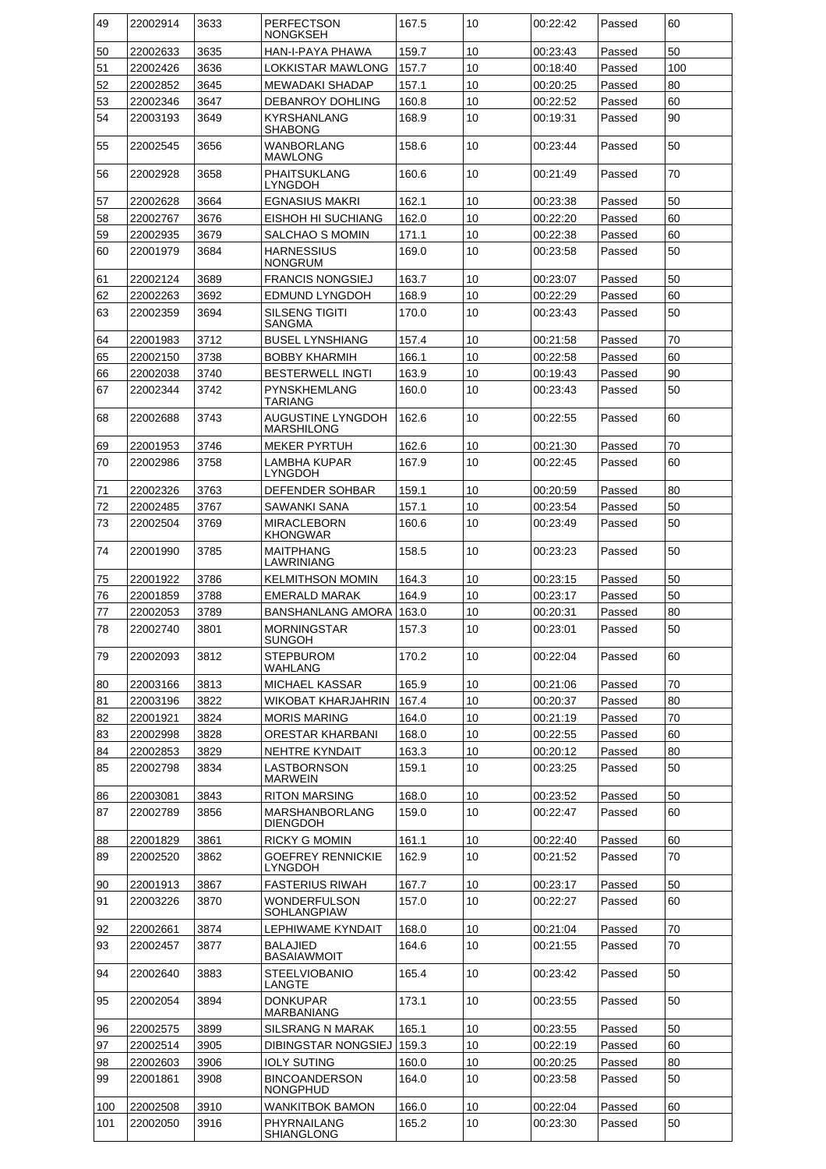| 49       | 22002914             | 3633         | <b>PERFECTSON</b><br><b>NONGKSEH</b>      | 167.5          | 10       | 00:22:42             | Passed           | 60  |
|----------|----------------------|--------------|-------------------------------------------|----------------|----------|----------------------|------------------|-----|
| 50       | 22002633             | 3635         | HAN-I-PAYA PHAWA                          | 159.7          | 10       | 00:23:43             | Passed           | 50  |
| 51       | 22002426             | 3636         | LOKKISTAR MAWLONG                         | 157.7          | 10       | 00:18:40             | Passed           | 100 |
| 52       | 22002852             | 3645         | <b>MEWADAKI SHADAP</b>                    | 157.1          | 10       | 00:20:25             | Passed           | 80  |
| 53       | 22002346             | 3647         | <b>DEBANROY DOHLING</b>                   | 160.8          | 10       | 00:22:52             | Passed           | 60  |
| 54       | 22003193             | 3649         | <b>KYRSHANLANG</b>                        | 168.9          | 10       | 00:19:31             | Passed           | 90  |
| 55       | 22002545             | 3656         | <b>SHABONG</b><br><b>WANBORLANG</b>       | 158.6          | 10       | 00:23:44             | Passed           | 50  |
| 56       | 22002928             | 3658         | <b>MAWLONG</b><br><b>PHAITSUKLANG</b>     | 160.6          | 10       | 00:21:49             | Passed           | 70  |
| 57       | 22002628             | 3664         | LYNGDOH<br><b>EGNASIUS MAKRI</b>          | 162.1          | 10       | 00:23:38             | Passed           | 50  |
| 58       | 22002767             | 3676         | EISHOH HI SUCHIANG                        | 162.0          | 10       | 00:22:20             | Passed           | 60  |
| 59       | 22002935             | 3679         | SALCHAO S MOMIN                           | 171.1          | 10       | 00:22:38             | Passed           | 60  |
| 60       | 22001979             | 3684         | <b>HARNESSIUS</b><br><b>NONGRUM</b>       | 169.0          | 10       | 00:23:58             | Passed           | 50  |
| 61       | 22002124             | 3689         | <b>FRANCIS NONGSIEJ</b>                   | 163.7          | 10       | 00:23:07             | Passed           | 50  |
| 62       | 22002263             | 3692         | <b>EDMUND LYNGDOH</b>                     | 168.9          | 10       | 00:22:29             | Passed           | 60  |
| 63       | 22002359             | 3694         | <b>SILSENG TIGITI</b>                     | 170.0          | 10       | 00:23:43             | Passed           | 50  |
| 64       | 22001983             | 3712         | SANGMA<br><b>BUSEL LYNSHIANG</b>          | 157.4          | 10       | 00:21:58             | Passed           | 70  |
| 65       | 22002150             | 3738         | <b>BOBBY KHARMIH</b>                      | 166.1          | 10       | 00:22:58             | Passed           | 60  |
| 66       | 22002038             | 3740         | <b>BESTERWELL INGTI</b>                   | 163.9          | 10       | 00:19:43             | Passed           | 90  |
| 67       | 22002344             | 3742         | <b>PYNSKHEMLANG</b><br><b>TARIANG</b>     | 160.0          | 10       | 00:23:43             | Passed           | 50  |
| 68       | 22002688             | 3743         | AUGUSTINE LYNGDOH<br><b>MARSHILONG</b>    | 162.6          | 10       | 00:22:55             | Passed           | 60  |
| 69       | 22001953             | 3746         | <b>MEKER PYRTUH</b>                       | 162.6          | 10       | 00:21:30             | Passed           | 70  |
| 70       | 22002986             | 3758         | <b>LAMBHA KUPAR</b>                       | 167.9          | 10       | 00:22:45             | Passed           | 60  |
|          |                      |              | <b>LYNGDOH</b>                            |                |          |                      |                  |     |
| 71       | 22002326             | 3763         | DEFENDER SOHBAR                           | 159.1          | 10       | 00:20:59             | Passed           | 80  |
| 72       | 22002485             | 3767         | SAWANKI SANA                              | 157.1          | 10       | 00:23:54             | Passed           | 50  |
| 73       | 22002504             | 3769         | <b>MIRACLEBORN</b><br><b>KHONGWAR</b>     | 160.6          | 10       | 00:23:49             | Passed           | 50  |
| 74       | 22001990             | 3785         | MAITPHANG<br>LAWRINIANG                   | 158.5          | 10       | 00:23:23             | Passed           | 50  |
| 75       | 22001922             | 3786         | <b>KELMITHSON MOMIN</b>                   | 164.3          | 10       | 00:23:15             | Passed           | 50  |
| 76       | 22001859             | 3788         | <b>EMERALD MARAK</b>                      | 164.9          | 10       | 00:23:17             | Passed           | 50  |
| 77       | 22002053             | 3789         | <b>BANSHANLANG AMORA</b>                  | 163.0          | 10       | 00:20:31             | Passed           | 80  |
| 78       | 22002740             | 3801         | <b>MORNINGSTAR</b><br><b>SUNGOH</b>       | 157.3          | 10       | 00:23:01             | Passed           | 50  |
| 79       | 22002093             | 3812         | <b>STEPBUROM</b><br>WAHLANG               | 170.2          | 10       | 00:22:04             | Passed           | 60  |
| 80       | 22003166             | 3813         | <b>MICHAEL KASSAR</b>                     | 165.9          | 10       | 00:21:06             | Passed           | 70  |
| 81       | 22003196             | 3822         | WIKOBAT KHARJAHRIN                        | 167.4          | 10       | 00:20:37             | Passed           | 80  |
| 82       | 22001921             | 3824         | <b>MORIS MARING</b>                       | 164.0          | 10       | 00:21:19             | Passed           | 70  |
| 83       | 22002998             | 3828         | <b>ORESTAR KHARBANI</b>                   | 168.0          | 10       | 00:22:55             | Passed           | 60  |
| 84       | 22002853             | 3829         | NEHTRE KYNDAIT                            | 163.3          | 10       | 00:20:12             | Passed           | 80  |
| 85       | 22002798             | 3834         | LASTBORNSON<br><b>MARWEIN</b>             | 159.1          | 10       | 00:23:25             | Passed           | 50  |
| 86       | 22003081             | 3843         | <b>RITON MARSING</b>                      | 168.0          | 10       | 00:23:52             | Passed           | 50  |
| 87       | 22002789             | 3856         | <b>MARSHANBORLANG</b><br><b>DIENGDOH</b>  | 159.0          | 10       | 00:22:47             | Passed           | 60  |
|          | 22001829             | 3861         | <b>RICKY G MOMIN</b>                      | 161.1          | 10       |                      |                  | 60  |
| 88<br>89 | 22002520             | 3862         | <b>GOEFREY RENNICKIE</b>                  | 162.9          | 10       | 00:22:40<br>00:21:52 | Passed<br>Passed | 70  |
|          |                      |              | LYNGDOH                                   |                |          |                      |                  |     |
| 90       | 22001913             | 3867         | <b>FASTERIUS RIWAH</b>                    | 167.7          | 10       | 00:23:17             | Passed           | 50  |
| 91       | 22003226             | 3870         | <b>WONDERFULSON</b><br><b>SOHLANGPIAW</b> | 157.0          | 10       | 00:22:27             | Passed           | 60  |
| 92       | 22002661             | 3874         | LEPHIWAME KYNDAIT                         | 168.0          | 10       | 00:21:04             | Passed           | 70  |
| 93       | 22002457             | 3877         | <b>BALAJIED</b><br><b>BASAIAWMOIT</b>     | 164.6          | 10       | 00:21:55             | Passed           | 70  |
| 94       | 22002640             | 3883         | <b>STEELVIOBANIO</b><br>LANGTE            | 165.4          | 10       | 00:23:42             | Passed           | 50  |
| 95       | 22002054             | 3894         | <b>DONKUPAR</b><br><b>MARBANIANG</b>      | 173.1          | 10       | 00:23:55             | Passed           | 50  |
| 96       | 22002575             | 3899         | <b>SILSRANG N MARAK</b>                   | 165.1          | 10       | 00:23:55             | Passed           | 50  |
| 97       | 22002514             | 3905         | DIBINGSTAR NONGSIEJ                       | 159.3          | 10       | 00:22:19             | Passed           | 60  |
|          |                      |              | <b>IOLY SUTING</b>                        |                |          |                      |                  | 80  |
| 98<br>99 | 22002603<br>22001861 | 3906<br>3908 | <b>BINCOANDERSON</b>                      | 160.0<br>164.0 | 10<br>10 | 00:20:25<br>00:23:58 | Passed           | 50  |
|          |                      |              | <b>NONGPHUD</b>                           |                |          |                      | Passed           |     |
| 100      | 22002508             | 3910         | <b>WANKITBOK BAMON</b>                    | 166.0          | 10       | 00:22:04             | Passed           | 60  |
| 101      | 22002050             | 3916         | PHYRNAILANG<br>SHIANGLONG                 | 165.2          | 10       | 00:23:30             | Passed           | 50  |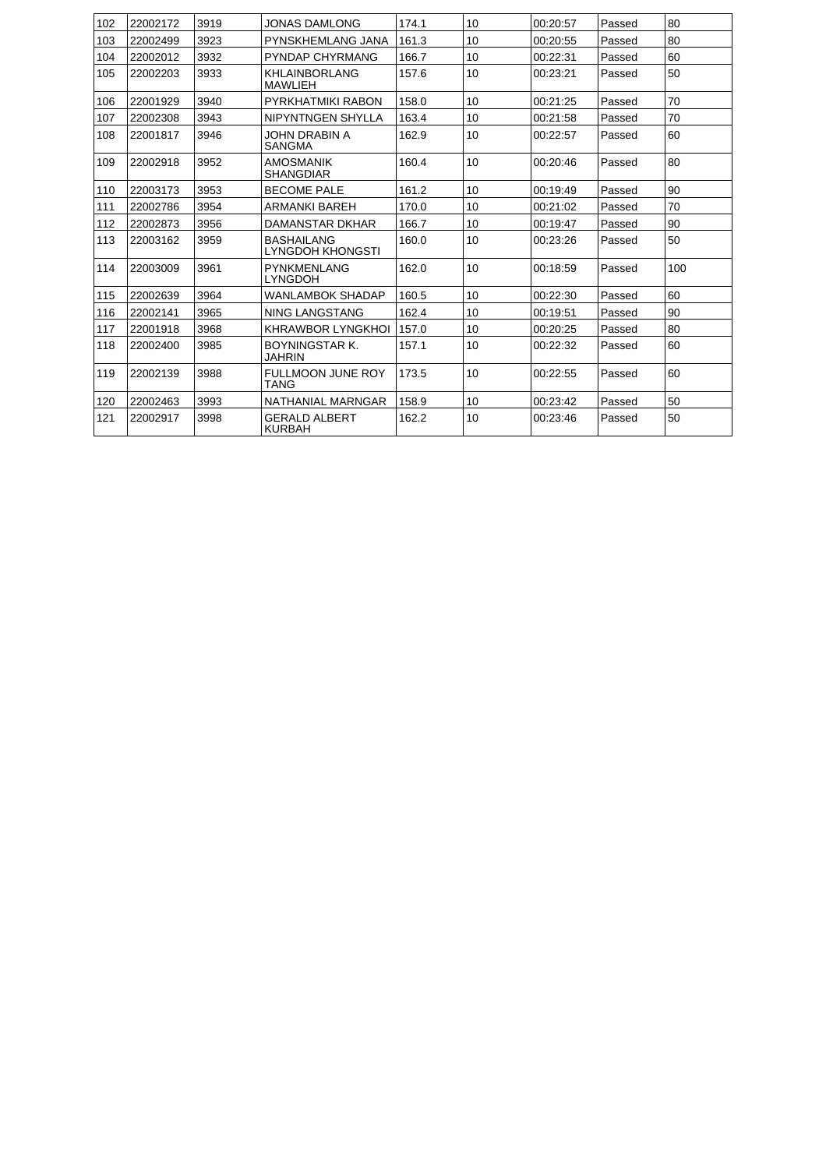| 102 | 22002172 | 3919 | JONAS DAMI ONG                          | 174.1 | 10 | 00:20:57 | Passed | 80  |
|-----|----------|------|-----------------------------------------|-------|----|----------|--------|-----|
| 103 | 22002499 | 3923 | PYNSKHEMLANG JANA                       | 161.3 | 10 | 00:20:55 | Passed | 80  |
| 104 | 22002012 | 3932 | PYNDAP CHYRMANG                         | 166.7 | 10 | 00:22:31 | Passed | 60  |
| 105 | 22002203 | 3933 | KHLAINBORLANG<br><b>MAWLIEH</b>         | 157.6 | 10 | 00:23:21 | Passed | 50  |
| 106 | 22001929 | 3940 | PYRKHATMIKI RABON                       | 158.0 | 10 | 00:21:25 | Passed | 70  |
| 107 | 22002308 | 3943 | NIPYNTNGEN SHYLLA                       | 163.4 | 10 | 00:21:58 | Passed | 70  |
| 108 | 22001817 | 3946 | JOHN DRABIN A<br><b>SANGMA</b>          | 162.9 | 10 | 00:22:57 | Passed | 60  |
| 109 | 22002918 | 3952 | <b>AMOSMANIK</b><br><b>SHANGDIAR</b>    | 160.4 | 10 | 00:20:46 | Passed | 80  |
| 110 | 22003173 | 3953 | <b>BECOME PALE</b>                      | 161.2 | 10 | 00:19:49 | Passed | 90  |
| 111 | 22002786 | 3954 | <b>ARMANKI BAREH</b>                    | 170.0 | 10 | 00:21:02 | Passed | 70  |
| 112 | 22002873 | 3956 | <b>DAMANSTAR DKHAR</b>                  | 166.7 | 10 | 00:19:47 | Passed | 90  |
| 113 | 22003162 | 3959 | <b>BASHAILANG</b><br>LYNGDOH KHONGSTI   | 160.0 | 10 | 00:23:26 | Passed | 50  |
| 114 | 22003009 | 3961 | <b>PYNKMENLANG</b><br><b>LYNGDOH</b>    | 162.0 | 10 | 00:18:59 | Passed | 100 |
| 115 | 22002639 | 3964 | <b>WANLAMBOK SHADAP</b>                 | 160.5 | 10 | 00:22:30 | Passed | 60  |
| 116 | 22002141 | 3965 | <b>NING LANGSTANG</b>                   | 162.4 | 10 | 00:19:51 | Passed | 90  |
| 117 | 22001918 | 3968 | <b>KHRAWBOR LYNGKHOL</b>                | 157.0 | 10 | 00:20:25 | Passed | 80  |
| 118 | 22002400 | 3985 | <b>BOYNINGSTAR K.</b><br><b>JAHRIN</b>  | 157.1 | 10 | 00:22:32 | Passed | 60  |
| 119 | 22002139 | 3988 | <b>FULLMOON JUNE ROY</b><br><b>TANG</b> | 173.5 | 10 | 00:22:55 | Passed | 60  |
| 120 | 22002463 | 3993 | NATHANIAL MARNGAR                       | 158.9 | 10 | 00:23:42 | Passed | 50  |
| 121 | 22002917 | 3998 | <b>GERALD ALBERT</b><br><b>KURBAH</b>   | 162.2 | 10 | 00:23:46 | Passed | 50  |
|     |          |      |                                         |       |    |          |        |     |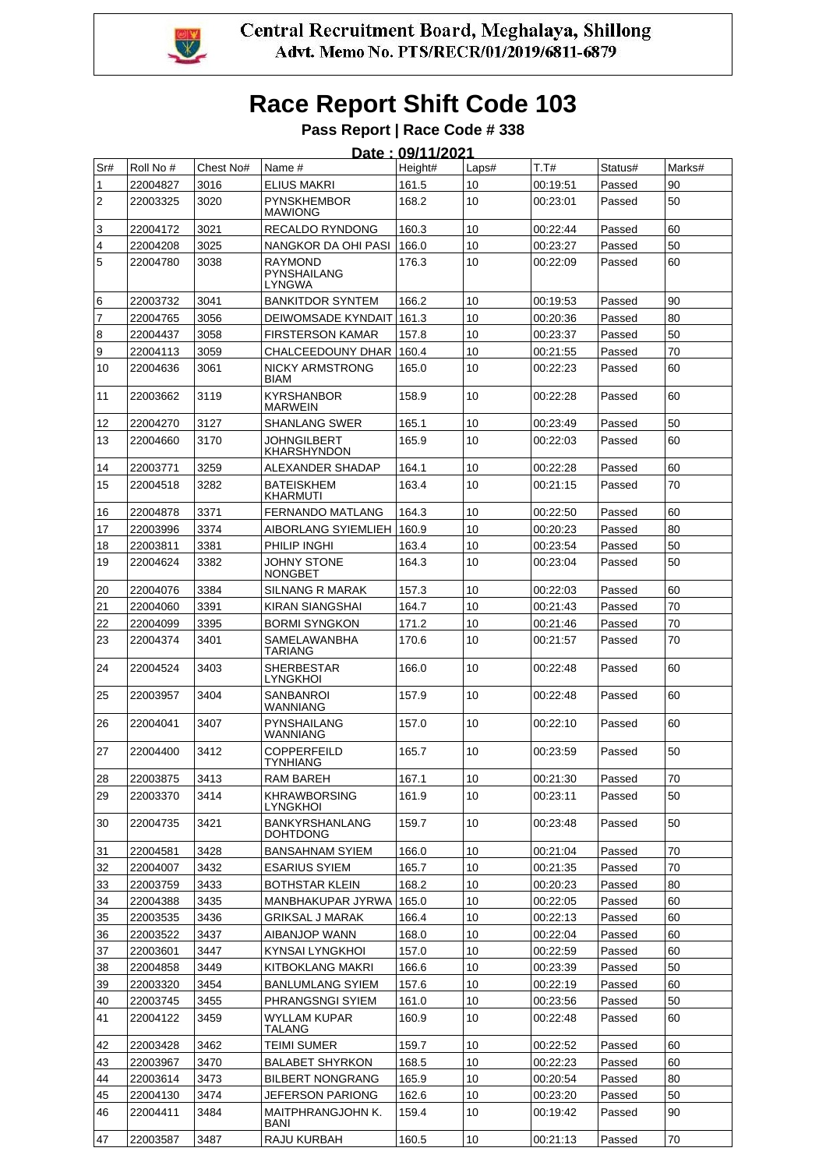

# **Race Report Shift Code 103**

**Pass Report | Race Code # 338** .<br>**DOLLALDOOA** 

|                |           |           |                                          | <u> Date : 09/11/2021</u> |       |          |         |        |
|----------------|-----------|-----------|------------------------------------------|---------------------------|-------|----------|---------|--------|
| Sr#            | Roll No # | Chest No# | Name #                                   | Height#                   | Laps# | T.T#     | Status# | Marks# |
| 1              | 22004827  | 3016      | <b>ELIUS MAKRI</b>                       | 161.5                     | 10    | 00:19:51 | Passed  | 90     |
| $\overline{2}$ | 22003325  | 3020      | <b>PYNSKHEMBOR</b><br><b>MAWIONG</b>     | 168.2                     | 10    | 00:23:01 | Passed  | 50     |
| 3              | 22004172  | 3021      | RECALDO RYNDONG                          | 160.3                     | 10    | 00:22:44 | Passed  | 60     |
| 4              | 22004208  | 3025      | NANGKOR DA OHI PASI                      | 166.0                     | 10    | 00:23:27 | Passed  | 50     |
| 5              | 22004780  | 3038      | <b>RAYMOND</b><br>PYNSHAILANG<br>LYNGWA  | 176.3                     | 10    | 00:22:09 | Passed  | 60     |
| 6              | 22003732  | 3041      | <b>BANKITDOR SYNTEM</b>                  | 166.2                     | 10    | 00:19:53 | Passed  | 90     |
| $\overline{7}$ | 22004765  | 3056      | DEIWOMSADE KYNDAIT                       | 161.3                     | 10    | 00:20:36 | Passed  | 80     |
| 8              | 22004437  | 3058      | <b>FIRSTERSON KAMAR</b>                  | 157.8                     | 10    | 00:23:37 | Passed  | 50     |
| 9              | 22004113  | 3059      | CHALCEEDOUNY DHAR                        | 160.4                     | 10    | 00:21:55 | Passed  | 70     |
| 10             | 22004636  | 3061      | <b>NICKY ARMSTRONG</b><br><b>BIAM</b>    | 165.0                     | 10    | 00:22:23 | Passed  | 60     |
| 11             | 22003662  | 3119      | <b>KYRSHANBOR</b><br><b>MARWEIN</b>      | 158.9                     | 10    | 00:22:28 | Passed  | 60     |
| 12             | 22004270  | 3127      | <b>SHANLANG SWER</b>                     | 165.1                     | 10    | 00:23:49 | Passed  | 50     |
| 13             | 22004660  | 3170      | JOHNGILBERT<br><b>KHARSHYNDON</b>        | 165.9                     | 10    | 00:22:03 | Passed  | 60     |
| 14             | 22003771  | 3259      | ALEXANDER SHADAP                         | 164.1                     | 10    | 00:22:28 | Passed  | 60     |
| 15             | 22004518  | 3282      | <b>BATEISKHEM</b><br><b>KHARMUTI</b>     | 163.4                     | 10    | 00:21:15 | Passed  | 70     |
| 16             | 22004878  | 3371      | <b>FERNANDO MATLANG</b>                  | 164.3                     | 10    | 00:22:50 | Passed  | 60     |
| 17             | 22003996  | 3374      | AIBORLANG SYIEMLIEH                      | 160.9                     | 10    | 00:20:23 | Passed  | 80     |
| 18             | 22003811  | 3381      | PHILIP INGHI                             | 163.4                     | 10    | 00:23:54 | Passed  | 50     |
| 19             | 22004624  | 3382      | JOHNY STONE<br><b>NONGBET</b>            | 164.3                     | 10    | 00:23:04 | Passed  | 50     |
| 20             | 22004076  | 3384      | SILNANG R MARAK                          | 157.3                     | 10    | 00:22:03 | Passed  | 60     |
| 21             | 22004060  | 3391      | KIRAN SIANGSHAI                          | 164.7                     | 10    | 00:21:43 | Passed  | 70     |
| 22             | 22004099  | 3395      | <b>BORMI SYNGKON</b>                     | 171.2                     | 10    | 00:21:46 | Passed  | 70     |
| 23             | 22004374  | 3401      | <b>SAMELAWANBHA</b><br><b>TARIANG</b>    | 170.6                     | 10    | 00:21:57 | Passed  | 70     |
| 24             | 22004524  | 3403      | <b>SHERBESTAR</b><br><b>LYNGKHOI</b>     | 166.0                     | 10    | 00:22:48 | Passed  | 60     |
| 25             | 22003957  | 3404      | <b>SANBANROI</b><br>WANNIANG             | 157.9                     | 10    | 00:22:48 | Passed  | 60     |
| 26             | 22004041  | 3407      | PYNSHAILANG<br>WANNIANG                  | 157.0                     | 10    | 00:22:10 | Passed  | 60     |
| 27             | 22004400  | 3412      | COPPERFEILD<br>TYNHIANG                  | 165.7                     | 10    | 00:23.59 | Passed  | 50     |
| 28             | 22003875  | 3413      | RAM BAREH                                | 167.1                     | 10    | 00:21:30 | Passed  | 70     |
| 29             | 22003370  | 3414      | <b>KHRAWBORSING</b><br><b>LYNGKHOI</b>   | 161.9                     | 10    | 00:23:11 | Passed  | 50     |
| 30             | 22004735  | 3421      | <b>BANKYRSHANLANG</b><br><b>DOHTDONG</b> | 159.7                     | 10    | 00:23:48 | Passed  | 50     |
| 31             | 22004581  | 3428      | <b>BANSAHNAM SYIEM</b>                   | 166.0                     | 10    | 00:21:04 | Passed  | 70     |
| 32             | 22004007  | 3432      | <b>ESARIUS SYIEM</b>                     | 165.7                     | 10    | 00:21:35 | Passed  | 70     |
| 33             | 22003759  | 3433      | <b>BOTHSTAR KLEIN</b>                    | 168.2                     | 10    | 00:20:23 | Passed  | 80     |
| 34             | 22004388  | 3435      | MANBHAKUPAR JYRWA                        | 165.0                     | 10    | 00:22:05 | Passed  | 60     |
| 35             | 22003535  | 3436      | <b>GRIKSAL J MARAK</b>                   | 166.4                     | 10    | 00:22:13 | Passed  | 60     |
| 36             | 22003522  | 3437      | AIBANJOP WANN                            | 168.0                     | 10    | 00:22:04 | Passed  | 60     |
| 37             | 22003601  | 3447      | KYNSAI LYNGKHOI                          | 157.0                     | 10    | 00:22:59 | Passed  | 60     |
| 38             | 22004858  | 3449      | KITBOKLANG MAKRI                         | 166.6                     | 10    | 00:23:39 | Passed  | 50     |
| 39             | 22003320  | 3454      | <b>BANLUMLANG SYIEM</b>                  | 157.6                     | 10    | 00:22:19 | Passed  | 60     |
| 40             | 22003745  | 3455      | PHRANGSNGI SYIEM                         | 161.0                     | 10    | 00:23:56 | Passed  | 50     |
| 41             | 22004122  | 3459      | WYLLAM KUPAR<br><b>TALANG</b>            | 160.9                     | 10    | 00:22:48 | Passed  | 60     |
| 42             | 22003428  | 3462      | <b>TEIMI SUMER</b>                       | 159.7                     | 10    | 00:22:52 | Passed  | 60     |
| 43             | 22003967  | 3470      | <b>BALABET SHYRKON</b>                   | 168.5                     | 10    | 00:22:23 | Passed  | 60     |
| 44             | 22003614  | 3473      | <b>BILBERT NONGRANG</b>                  | 165.9                     | 10    | 00:20:54 | Passed  | 80     |
| 45             | 22004130  | 3474      | <b>JEFERSON PARIONG</b>                  | 162.6                     | 10    | 00:23:20 | Passed  | 50     |
| 46             | 22004411  | 3484      | MAITPHRANGJOHN K.<br>BANI                | 159.4                     | 10    | 00:19:42 | Passed  | 90     |
| 47             | 22003587  | 3487      | RAJU KURBAH                              | 160.5                     | 10    | 00:21:13 | Passed  | 70     |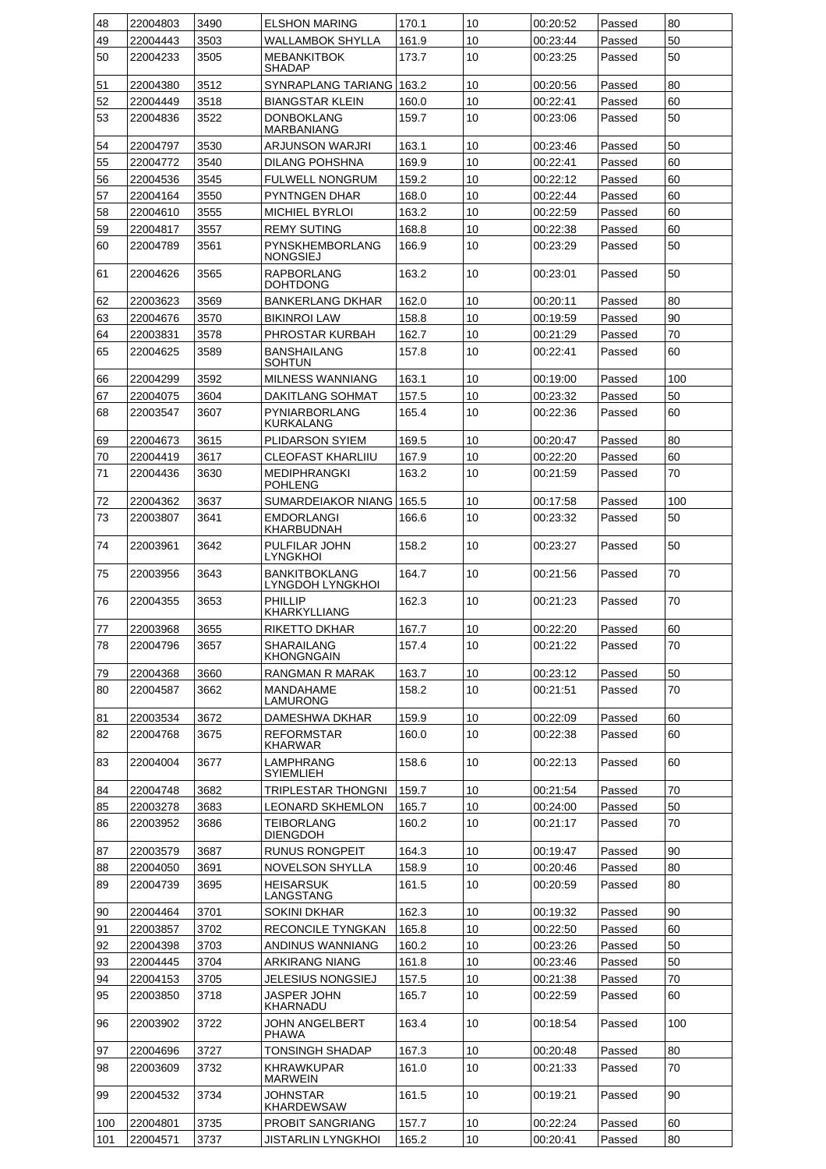| 48  | 22004803 | 3490 | <b>ELSHON MARING</b>                     | 170.1 | 10 | 00:20:52 | Passed | 80  |
|-----|----------|------|------------------------------------------|-------|----|----------|--------|-----|
| 49  | 22004443 | 3503 | WALLAMBOK SHYLLA                         | 161.9 | 10 | 00:23:44 | Passed | 50  |
| 50  | 22004233 | 3505 | <b>MEBANKITBOK</b>                       | 173.7 | 10 | 00:23:25 | Passed | 50  |
|     |          |      | SHADAP                                   |       |    |          |        |     |
| 51  | 22004380 | 3512 | SYNRAPLANG TARIANG                       | 163.2 | 10 | 00:20:56 | Passed | 80  |
| 52  | 22004449 | 3518 | <b>BIANGSTAR KLEIN</b>                   | 160.0 | 10 | 00:22:41 | Passed | 60  |
| 53  | 22004836 | 3522 | DONBOKLANG<br>MARBANIANG                 | 159.7 | 10 | 00:23:06 | Passed | 50  |
| 54  | 22004797 | 3530 | ARJUNSON WARJRI                          | 163.1 | 10 | 00:23:46 | Passed | 50  |
| 55  | 22004772 | 3540 | <b>DILANG POHSHNA</b>                    | 169.9 | 10 | 00:22:41 | Passed | 60  |
| 56  | 22004536 | 3545 | <b>FULWELL NONGRUM</b>                   | 159.2 | 10 | 00:22:12 | Passed | 60  |
| 57  | 22004164 | 3550 | <b>PYNTNGEN DHAR</b>                     | 168.0 | 10 | 00:22:44 | Passed | 60  |
| 58  | 22004610 | 3555 | <b>MICHIEL BYRLOI</b>                    | 163.2 | 10 | 00:22:59 | Passed | 60  |
| 59  | 22004817 | 3557 | <b>REMY SUTING</b>                       | 168.8 | 10 | 00:22:38 | Passed | 60  |
| 60  | 22004789 | 3561 | PYNSKHEMBORLANG                          | 166.9 | 10 | 00:23:29 | Passed | 50  |
|     |          |      | NONGSIEJ                                 |       |    |          |        |     |
| 61  | 22004626 | 3565 | <b>RAPBORLANG</b><br>DOHTDONG            | 163.2 | 10 | 00:23:01 | Passed | 50  |
| 62  | 22003623 | 3569 | <b>BANKERLANG DKHAR</b>                  | 162.0 | 10 | 00:20:11 | Passed | 80  |
| 63  | 22004676 | 3570 | <b>BIKINROI LAW</b>                      | 158.8 | 10 | 00:19:59 | Passed | 90  |
| 64  | 22003831 | 3578 | PHROSTAR KURBAH                          | 162.7 | 10 | 00:21:29 | Passed | 70  |
| 65  | 22004625 | 3589 | BANSHAILANG<br><b>SOHTUN</b>             | 157.8 | 10 | 00:22:41 | Passed | 60  |
| 66  | 22004299 | 3592 | <b>MILNESS WANNIANG</b>                  | 163.1 | 10 | 00:19:00 | Passed | 100 |
| 67  | 22004075 | 3604 | DAKITLANG SOHMAT                         | 157.5 | 10 | 00:23:32 | Passed | 50  |
| 68  | 22003547 | 3607 | PYNIARBORLANG<br>KURKALANG               | 165.4 | 10 | 00:22:36 | Passed | 60  |
| 69  | 22004673 | 3615 | PLIDARSON SYIEM                          | 169.5 | 10 | 00:20:47 | Passed | 80  |
| 70  | 22004419 | 3617 | CLEOFAST KHARLIIU                        | 167.9 | 10 | 00:22:20 | Passed | 60  |
| 71  | 22004436 | 3630 | <b>MEDIPHRANGKI</b>                      | 163.2 | 10 | 00:21:59 | Passed | 70  |
|     |          |      | <b>POHLENG</b>                           |       |    |          |        |     |
| 72  | 22004362 | 3637 | SUMARDEIAKOR NIANG                       | 165.5 | 10 | 00:17:58 | Passed | 100 |
| 73  | 22003807 | 3641 | EMDORLANGI<br>KHARBUDNAH                 | 166.6 | 10 | 00:23:32 | Passed | 50  |
| 74  | 22003961 | 3642 | PULFILAR JOHN<br><b>LYNGKHOI</b>         | 158.2 | 10 | 00:23:27 | Passed | 50  |
| 75  | 22003956 | 3643 | <b>BANKITBOKLANG</b><br>LYNGDOH LYNGKHOI | 164.7 | 10 | 00:21:56 | Passed | 70  |
| 76  | 22004355 | 3653 | PHILLIP<br>KHARKYLLIANG                  | 162.3 | 10 | 00:21:23 | Passed | 70  |
| 77  | 22003968 | 3655 | RIKETTO DKHAR                            | 167.7 | 10 | 00:22:20 | Passed | 60  |
| 78  | 22004796 | 3657 | SHARAILANG                               | 157.4 | 10 | 00:21:22 | Passed | 70  |
| 79  | 22004368 | 3660 | KHONGNGAIN<br>RANGMAN R MARAK            | 163.7 | 10 | 00:23:12 | Passed | 50  |
| 80  | 22004587 | 3662 | <b>MANDAHAME</b>                         | 158.2 | 10 | 00:21:51 | Passed | 70  |
|     |          |      | LAMURONG                                 |       |    |          |        | 60  |
| 81  | 22003534 | 3672 | DAMESHWA DKHAR                           | 159.9 | 10 | 00:22:09 | Passed |     |
| 82  | 22004768 | 3675 | REFORMSTAR<br><b>KHARWAR</b>             | 160.0 | 10 | 00:22:38 | Passed | 60  |
| 83  | 22004004 | 3677 | LAMPHRANG<br>SYIEMLIEH                   | 158.6 | 10 | 00:22:13 | Passed | 60  |
| 84  | 22004748 | 3682 | TRIPLESTAR THONGNI                       | 159.7 | 10 | 00:21:54 | Passed | 70  |
| 85  | 22003278 | 3683 | <b>LEONARD SKHEMLON</b>                  | 165.7 | 10 | 00:24:00 | Passed | 50  |
| 86  | 22003952 | 3686 | TEIBORLANG<br>DIENGDOH                   | 160.2 | 10 | 00:21:17 | Passed | 70  |
| 87  | 22003579 | 3687 | <b>RUNUS RONGPEIT</b>                    | 164.3 | 10 | 00:19:47 | Passed | 90  |
| 88  | 22004050 | 3691 | NOVELSON SHYLLA                          | 158.9 | 10 | 00:20:46 | Passed | 80  |
| 89  | 22004739 | 3695 | HEISARSUK<br>LANGSTANG                   | 161.5 | 10 | 00:20:59 | Passed | 80  |
| 90  | 22004464 | 3701 | SOKINI DKHAR                             | 162.3 | 10 | 00:19:32 | Passed | 90  |
| 91  | 22003857 | 3702 | RECONCILE TYNGKAN                        | 165.8 | 10 | 00:22:50 | Passed | 60  |
| 92  | 22004398 | 3703 | ANDINUS WANNIANG                         | 160.2 | 10 | 00:23:26 | Passed | 50  |
| 93  | 22004445 | 3704 | ARKIRANG NIANG                           | 161.8 | 10 | 00:23:46 | Passed | 50  |
| 94  | 22004153 | 3705 | JELESIUS NONGSIEJ                        | 157.5 | 10 | 00:21:38 | Passed | 70  |
| 95  | 22003850 | 3718 | <b>JASPER JOHN</b><br>KHARNADU           | 165.7 | 10 | 00:22:59 | Passed | 60  |
| 96  | 22003902 | 3722 | JOHN ANGELBERT<br>PHAWA                  | 163.4 | 10 | 00:18:54 | Passed | 100 |
| 97  | 22004696 | 3727 | TONSINGH SHADAP                          | 167.3 | 10 | 00:20:48 | Passed | 80  |
| 98  | 22003609 | 3732 | KHRAWKUPAR                               | 161.0 | 10 | 00:21:33 | Passed | 70  |
|     |          |      | <b>MARWEIN</b>                           |       |    |          |        |     |
| 99  | 22004532 | 3734 | JOHNSTAR<br>KHARDEWSAW                   | 161.5 | 10 | 00:19:21 | Passed | 90  |
| 100 | 22004801 | 3735 | <b>PROBIT SANGRIANG</b>                  | 157.7 | 10 | 00:22:24 | Passed | 60  |
| 101 | 22004571 | 3737 | JISTARLIN LYNGKHOI                       | 165.2 | 10 | 00:20:41 | Passed | 80  |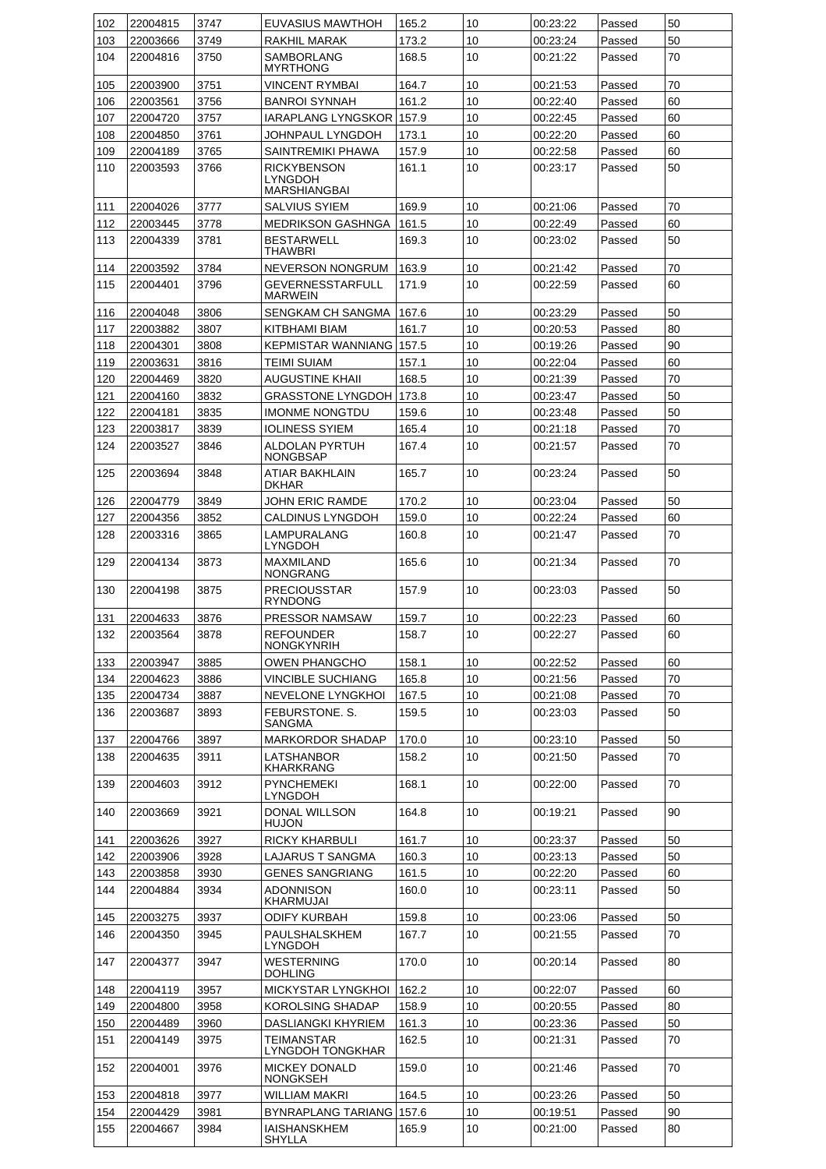| 102 | 22004815 | 3747 | EUVASIUS MAWTHOH                        | 165.2 | 10 | 00:23:22 | Passed | 50 |
|-----|----------|------|-----------------------------------------|-------|----|----------|--------|----|
| 103 | 22003666 | 3749 | RAKHIL MARAK                            | 173.2 | 10 | 00:23:24 | Passed | 50 |
| 104 | 22004816 | 3750 | <b>SAMBORLANG</b>                       | 168.5 | 10 | 00:21:22 | Passed | 70 |
|     |          |      | <b>MYRTHONG</b>                         |       |    |          |        |    |
| 105 | 22003900 | 3751 | VINCENT RYMBAI                          | 164.7 | 10 | 00:21:53 | Passed | 70 |
| 106 | 22003561 | 3756 | <b>BANROI SYNNAH</b>                    | 161.2 | 10 | 00:22:40 | Passed | 60 |
| 107 | 22004720 | 3757 | IARAPLANG LYNGSKOR                      | 157.9 | 10 | 00:22:45 | Passed | 60 |
| 108 | 22004850 | 3761 | JOHNPAUL LYNGDOH                        | 173.1 | 10 | 00:22:20 | Passed | 60 |
| 109 | 22004189 | 3765 | SAINTREMIKI PHAWA                       | 157.9 | 10 | 00:22:58 | Passed | 60 |
| 110 | 22003593 | 3766 | <b>RICKYBENSON</b><br><b>LYNGDOH</b>    | 161.1 | 10 | 00:23:17 | Passed | 50 |
|     |          |      | <b>MARSHIANGBAI</b>                     |       |    |          |        |    |
| 111 | 22004026 | 3777 | SALVIUS SYIEM                           | 169.9 | 10 | 00:21:06 | Passed | 70 |
| 112 | 22003445 | 3778 | <b>MEDRIKSON GASHNGA</b>                | 161.5 | 10 | 00:22:49 | Passed | 60 |
| 113 | 22004339 | 3781 | <b>BESTARWELL</b><br>THAWBRI            | 169.3 | 10 | 00:23:02 | Passed | 50 |
| 114 | 22003592 | 3784 | NEVERSON NONGRUM                        | 163.9 | 10 | 00:21:42 | Passed | 70 |
| 115 | 22004401 | 3796 | GEVERNESSTARFULL<br><b>MARWEIN</b>      | 171.9 | 10 | 00:22:59 | Passed | 60 |
| 116 | 22004048 | 3806 | SENGKAM CH SANGMA                       | 167.6 | 10 | 00:23:29 | Passed | 50 |
| 117 | 22003882 | 3807 | KITBHAMI BIAM                           | 161.7 | 10 | 00:20:53 | Passed | 80 |
| 118 | 22004301 | 3808 | <b>KEPMISTAR WANNIANG I</b>             | 157.5 | 10 | 00:19:26 | Passed | 90 |
| 119 | 22003631 | 3816 | TEIMI SUIAM                             | 157.1 | 10 | 00:22:04 | Passed | 60 |
| 120 | 22004469 | 3820 | AUGUSTINE KHAII                         | 168.5 | 10 | 00:21:39 | Passed | 70 |
| 121 | 22004160 | 3832 | <b>GRASSTONE LYNGDOH</b>                | 173.8 | 10 | 00:23:47 | Passed | 50 |
| 122 | 22004181 | 3835 | <b>IMONME NONGTDU</b>                   | 159.6 | 10 | 00:23:48 | Passed | 50 |
| 123 | 22003817 | 3839 | <b>IOLINESS SYIEM</b>                   | 165.4 | 10 | 00:21:18 | Passed | 70 |
| 124 | 22003527 | 3846 | ALDOLAN PYRTUH<br>NONGBSAP              | 167.4 | 10 | 00:21:57 | Passed | 70 |
| 125 | 22003694 | 3848 | ATIAR BAKHLAIN<br><b>DKHAR</b>          | 165.7 | 10 | 00:23:24 | Passed | 50 |
| 126 | 22004779 | 3849 | JOHN ERIC RAMDE                         | 170.2 | 10 | 00:23:04 | Passed | 50 |
| 127 | 22004356 | 3852 | CALDINUS LYNGDOH                        | 159.0 | 10 | 00:22:24 | Passed | 60 |
| 128 | 22003316 | 3865 | LAMPURALANG<br>LYNGDOH                  | 160.8 | 10 | 00:21:47 | Passed | 70 |
| 129 | 22004134 | 3873 | <b>MAXMILAND</b><br>NONGRANG            | 165.6 | 10 | 00:21:34 | Passed | 70 |
| 130 | 22004198 | 3875 | <b>PRECIOUSSTAR</b><br><b>RYNDONG</b>   | 157.9 | 10 | 00:23:03 | Passed | 50 |
| 131 | 22004633 | 3876 | PRESSOR NAMSAW                          | 159.7 | 10 | 00:22:23 | Passed | 60 |
| 132 | 22003564 | 3878 | <b>REFOUNDER</b><br><b>NONGKYNRIH</b>   | 158.7 | 10 | 00:22:27 | Passed | 60 |
| 133 | 22003947 | 3885 | <b>OWEN PHANGCHO</b>                    | 158.1 | 10 | 00:22:52 | Passed | 60 |
| 134 | 22004623 | 3886 | <b>VINCIBLE SUCHIANG</b>                | 165.8 | 10 | 00:21:56 | Passed | 70 |
| 135 | 22004734 | 3887 | NEVELONE LYNGKHOI                       | 167.5 | 10 | 00:21:08 | Passed | 70 |
| 136 | 22003687 | 3893 | FEBURSTONE, S.<br>SANGMA                | 159.5 | 10 | 00:23:03 | Passed | 50 |
| 137 | 22004766 | 3897 | <b>MARKORDOR SHADAP</b>                 | 170.0 | 10 | 00:23:10 | Passed | 50 |
| 138 | 22004635 | 3911 | LATSHANBOR                              | 158.2 | 10 | 00:21:50 | Passed | 70 |
|     |          |      | KHARKRANG                               |       |    |          |        |    |
| 139 | 22004603 | 3912 | PYNCHEMEKI<br>LYNGDOH                   | 168.1 | 10 | 00:22:00 | Passed | 70 |
| 140 | 22003669 | 3921 | <b>DONAL WILLSON</b><br><b>HUJON</b>    | 164.8 | 10 | 00:19:21 | Passed | 90 |
| 141 | 22003626 | 3927 | RICKY KHARBULI                          | 161.7 | 10 | 00:23:37 | Passed | 50 |
| 142 | 22003906 | 3928 | LAJARUS T SANGMA                        | 160.3 | 10 | 00:23:13 | Passed | 50 |
| 143 | 22003858 | 3930 | GENES SANGRIANG                         | 161.5 | 10 | 00:22:20 | Passed | 60 |
| 144 | 22004884 | 3934 | <b>ADONNISON</b><br>KHARMUJAI           | 160.0 | 10 | 00:23:11 | Passed | 50 |
| 145 | 22003275 | 3937 | ODIFY KURBAH                            | 159.8 | 10 | 00:23:06 | Passed | 50 |
| 146 | 22004350 | 3945 | PAULSHALSKHEM<br>LYNGDOH                | 167.7 | 10 | 00:21:55 | Passed | 70 |
| 147 | 22004377 | 3947 | WESTERNING<br>DOHLING                   | 170.0 | 10 | 00:20:14 | Passed | 80 |
| 148 | 22004119 | 3957 | MICKYSTAR LYNGKHOI                      | 162.2 | 10 | 00:22:07 | Passed | 60 |
| 149 | 22004800 | 3958 | <b>KOROLSING SHADAP</b>                 | 158.9 | 10 | 00:20:55 | Passed | 80 |
| 150 | 22004489 | 3960 | DASLIANGKI KHYRIEM                      | 161.3 | 10 | 00:23:36 | Passed | 50 |
| 151 | 22004149 | 3975 | TEIMANSTAR<br>LYNGDOH TONGKHAR          | 162.5 | 10 | 00:21:31 | Passed | 70 |
| 152 | 22004001 | 3976 | <b>MICKEY DONALD</b><br><b>NONGKSEH</b> | 159.0 | 10 | 00:21:46 | Passed | 70 |
| 153 | 22004818 | 3977 | WILLIAM MAKRI                           | 164.5 | 10 | 00:23:26 | Passed | 50 |
| 154 | 22004429 | 3981 | <b>BYNRAPLANG TARIANG</b>               | 157.6 | 10 | 00:19:51 | Passed | 90 |
| 155 | 22004667 | 3984 | IAISHANSKHEM                            | 165.9 | 10 | 00:21:00 | Passed | 80 |
|     |          |      | SHYLLA                                  |       |    |          |        |    |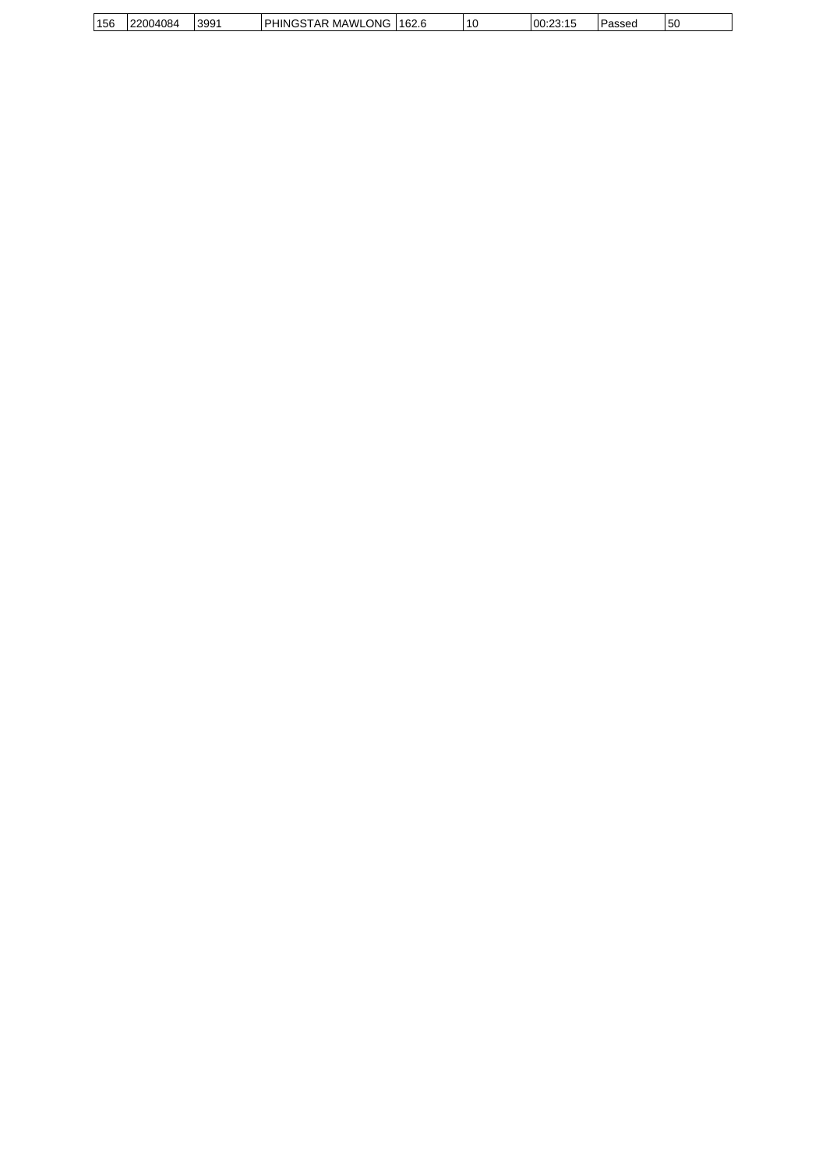| 156 | 22004084 | 399' | MAWI<br>.vLONC<br><br>. PI<br>JNC.<br>Аk<br>הי | 162.6 | 10 | $\cdots$<br>00:23:15 | Passed | <b>150</b> |
|-----|----------|------|------------------------------------------------|-------|----|----------------------|--------|------------|
|     |          |      |                                                |       |    |                      |        |            |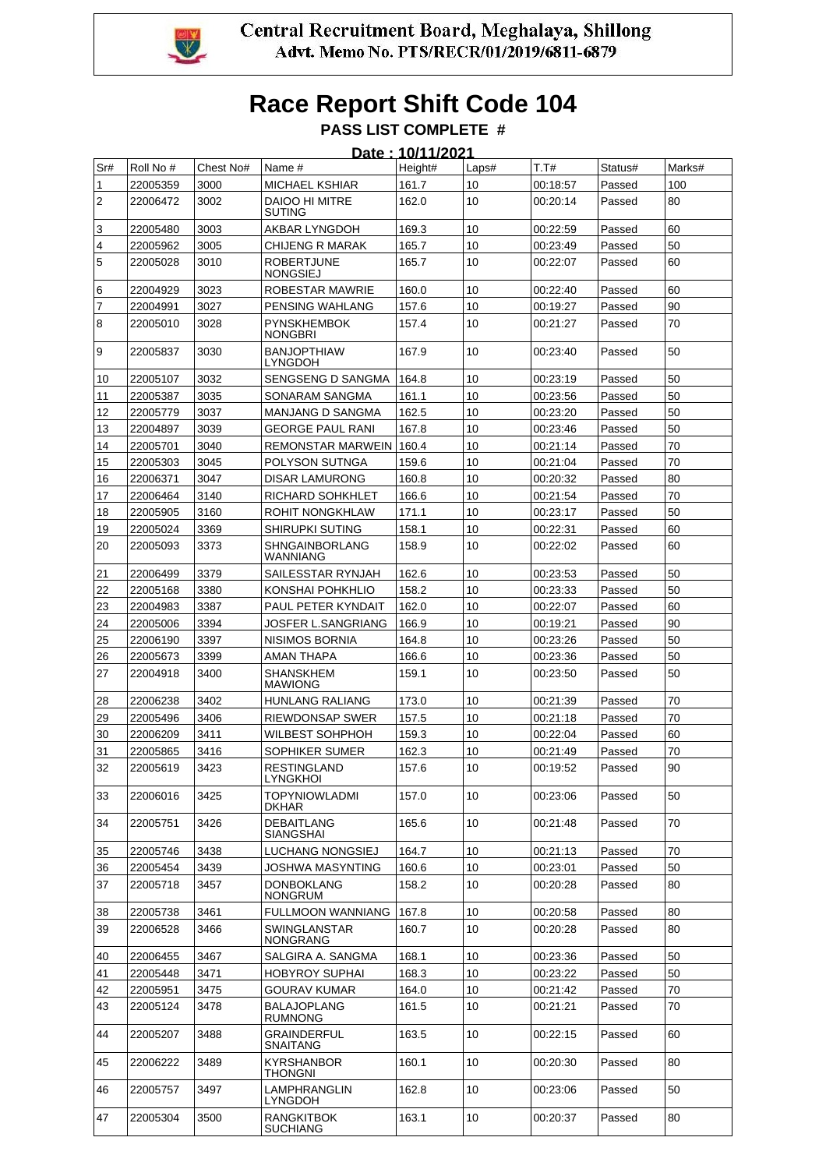

### **Race Report Shift Code 104 PASS LIST COMPLETE #**

|                |           |           |                                        | Date: 10/11/2021 |       |          |         |        |
|----------------|-----------|-----------|----------------------------------------|------------------|-------|----------|---------|--------|
| Sr#            | Roll No # | Chest No# | Name #                                 | Height#          | Laps# | T.T#     | Status# | Marks# |
| 1              | 22005359  | 3000      | <b>MICHAEL KSHIAR</b>                  | 161.7            | 10    | 00:18:57 | Passed  | 100    |
| $\overline{2}$ | 22006472  | 3002      | <b>DAIOO HI MITRE</b><br><b>SUTING</b> | 162.0            | 10    | 00:20:14 | Passed  | 80     |
| 3              | 22005480  | 3003      | AKBAR LYNGDOH                          | 169.3            | 10    | 00:22:59 | Passed  | 60     |
| 4              | 22005962  | 3005      | CHIJENG R MARAK                        | 165.7            | 10    | 00:23:49 | Passed  | 50     |
| 5              | 22005028  | 3010      | <b>ROBERTJUNE</b><br><b>NONGSIEJ</b>   | 165.7            | 10    | 00:22:07 | Passed  | 60     |
| 6              | 22004929  | 3023      | ROBESTAR MAWRIE                        | 160.0            | 10    | 00:22:40 | Passed  | 60     |
| 7              | 22004991  | 3027      | PENSING WAHLANG                        | 157.6            | 10    | 00:19:27 | Passed  | 90     |
| 8              | 22005010  | 3028      | <b>PYNSKHEMBOK</b><br><b>NONGBRI</b>   | 157.4            | 10    | 00:21:27 | Passed  | 70     |
| 9              | 22005837  | 3030      | <b>BANJOPTHIAW</b><br>LYNGDOH          | 167.9            | 10    | 00:23:40 | Passed  | 50     |
| 10             | 22005107  | 3032      | SENGSENG D SANGMA                      | 164.8            | 10    | 00:23:19 | Passed  | 50     |
| 11             | 22005387  | 3035      | SONARAM SANGMA                         | 161.1            | 10    | 00:23:56 | Passed  | 50     |
| 12             | 22005779  | 3037      | <b>MANJANG D SANGMA</b>                | 162.5            | 10    | 00:23:20 | Passed  | 50     |
| 13             | 22004897  | 3039      | <b>GEORGE PAUL RANI</b>                | 167.8            | 10    | 00:23:46 | Passed  | 50     |
| 14             | 22005701  | 3040      | REMONSTAR MARWEIN 160.4                |                  | 10    | 00:21:14 | Passed  | 70     |
| 15             | 22005303  | 3045      | POLYSON SUTNGA                         | 159.6            | 10    | 00:21:04 | Passed  | 70     |
| 16             | 22006371  | 3047      | <b>DISAR LAMURONG</b>                  | 160.8            | 10    | 00:20:32 | Passed  | 80     |
| 17             | 22006464  | 3140      | RICHARD SOHKHLET                       | 166.6            | 10    | 00:21:54 | Passed  | 70     |
| 18             | 22005905  | 3160      | ROHIT NONGKHLAW                        | 171.1            | 10    | 00:23:17 | Passed  | 50     |
| 19             | 22005024  | 3369      | SHIRUPKI SUTING                        | 158.1            | 10    | 00:22:31 | Passed  | 60     |
| 20             | 22005093  | 3373      | SHNGAINBORLANG<br>WANNIANG             | 158.9            | 10    | 00:22:02 | Passed  | 60     |
| 21             | 22006499  | 3379      | SAILESSTAR RYNJAH                      | 162.6            | 10    | 00:23:53 | Passed  | 50     |
| 22             | 22005168  | 3380      | KONSHAI POHKHLIO                       | 158.2            | 10    | 00:23:33 | Passed  | 50     |
| 23             | 22004983  | 3387      | PAUL PETER KYNDAIT                     | 162.0            | 10    | 00:22:07 | Passed  | 60     |
| 24             | 22005006  | 3394      | JOSFER L.SANGRIANG                     | 166.9            | 10    | 00:19:21 | Passed  | 90     |
| 25             | 22006190  | 3397      | NISIMOS BORNIA                         | 164.8            | 10    | 00:23:26 | Passed  | 50     |
| 26             | 22005673  | 3399      | AMAN THAPA                             | 166.6            | 10    | 00:23:36 | Passed  | 50     |
| 27             | 22004918  | 3400      | SHANSKHEM<br><b>MAWIONG</b>            | 159.1            | 10    | 00:23:50 | Passed  | 50     |
| 28             | 22006238  | 3402      | <b>HUNLANG RALIANG</b>                 | 173.0            | 10    | 00:21:39 | Passed  | 70     |
| 29             | 22005496  | 3406      | <b>RIEWDONSAP SWER</b>                 | 157.5            | 10    | 00:21:18 | Passed  | 70     |
| 30             | 22006209  | 3411      | WILBEST SOHPHOH                        | 159.3            | 10    | 00:22:04 | Passed  | 60     |
| 31             | 22005865  | 3416      | SOPHIKER SUMER                         | 162.3            | 10    | 00:21:49 | Passed  | 70     |
| 32             | 22005619  | 3423      | <b>RESTINGLAND</b><br><b>LYNGKHOI</b>  | 157.6            | 10    | 00:19:52 | Passed  | 90     |
| 33             | 22006016  | 3425      | <b>TOPYNIOWLADMI</b><br><b>DKHAR</b>   | 157.0            | 10    | 00:23:06 | Passed  | 50     |
| 34             | 22005751  | 3426      | <b>DEBAITLANG</b><br><b>SIANGSHAI</b>  | 165.6            | 10    | 00:21:48 | Passed  | 70     |
| 35             | 22005746  | 3438      | LUCHANG NONGSIEJ                       | 164.7            | 10    | 00:21:13 | Passed  | 70     |
| 36             | 22005454  | 3439      | JOSHWA MASYNTING                       | 160.6            | 10    | 00:23:01 | Passed  | 50     |
| 37             | 22005718  | 3457      | <b>DONBOKLANG</b><br><b>NONGRUM</b>    | 158.2            | 10    | 00:20:28 | Passed  | 80     |
| 38             | 22005738  | 3461      | <b>FULLMOON WANNIANG</b>               | 167.8            | 10    | 00:20:58 | Passed  | 80     |
| 39             | 22006528  | 3466      | SWINGLANSTAR<br><b>NONGRANG</b>        | 160.7            | 10    | 00:20:28 | Passed  | 80     |
| 40             | 22006455  | 3467      | SALGIRA A. SANGMA                      | 168.1            | 10    | 00:23:36 | Passed  | 50     |
| 41             | 22005448  | 3471      | <b>HOBYROY SUPHAI</b>                  | 168.3            | 10    | 00:23:22 | Passed  | 50     |
| 42             | 22005951  | 3475      | GOURAV KUMAR                           | 164.0            | 10    | 00:21:42 | Passed  | 70     |
| 43             | 22005124  | 3478      | BALAJOPLANG<br><b>RUMNONG</b>          | 161.5            | 10    | 00:21:21 | Passed  | 70     |
| 44             | 22005207  | 3488      | <b>GRAINDERFUL</b><br><b>SNAITANG</b>  | 163.5            | 10    | 00:22:15 | Passed  | 60     |
| 45             | 22006222  | 3489      | KYRSHANBOR<br>THONGNI                  | 160.1            | 10    | 00:20:30 | Passed  | 80     |
| 46             | 22005757  | 3497      | LAMPHRANGLIN<br><b>LYNGDOH</b>         | 162.8            | 10    | 00:23:06 | Passed  | 50     |
| 47             | 22005304  | 3500      | <b>RANGKITBOK</b><br>SUCHIANG          | 163.1            | 10    | 00:20:37 | Passed  | 80     |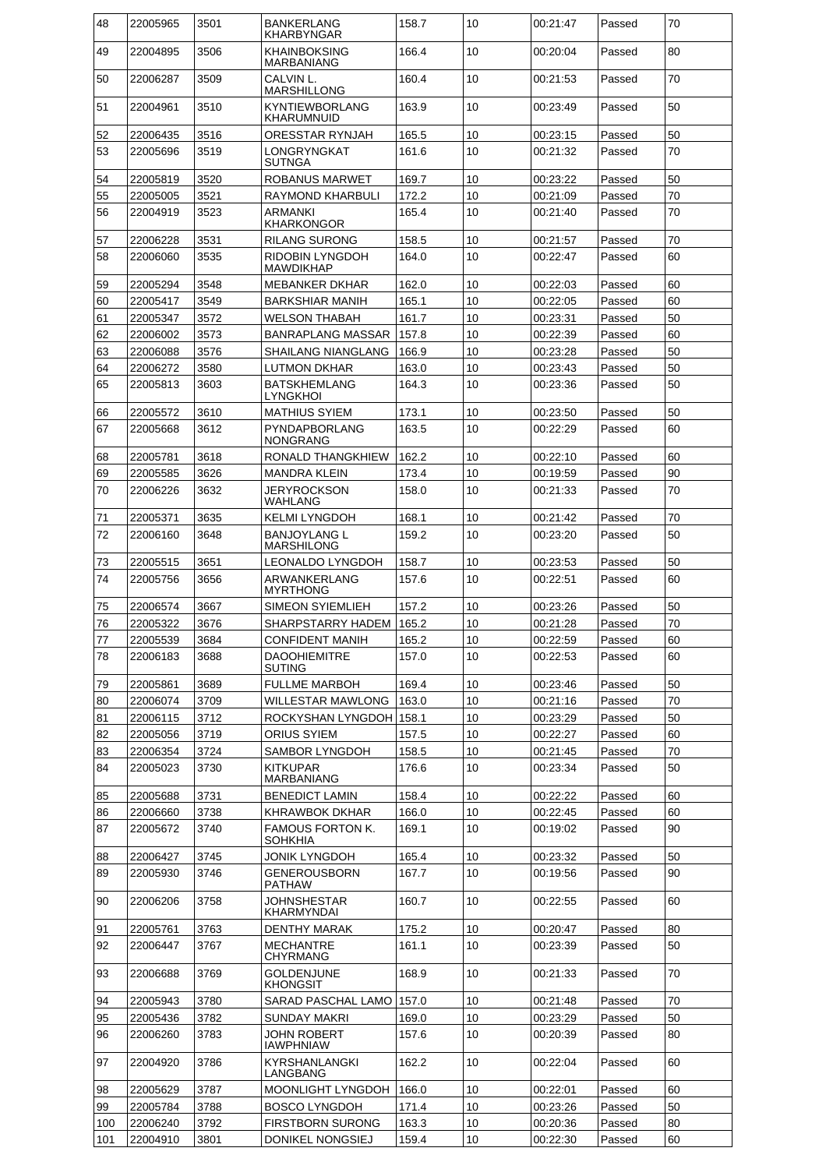| 48  | 22005965 | 3501 | <b>BANKERLANG</b><br>KHARBYNGAR      | 158.7 | 10   | 00:21:47 | Passed | 70 |
|-----|----------|------|--------------------------------------|-------|------|----------|--------|----|
| 49  | 22004895 | 3506 | KHAINBOKSING<br>MARBANIANG           | 166.4 | 10   | 00:20:04 | Passed | 80 |
| 50  | 22006287 | 3509 | CALVIN L.<br>MARSHILLONG             | 160.4 | 10   | 00:21:53 | Passed | 70 |
| 51  | 22004961 | 3510 | KYNTIEWBORLANG<br>KHARUMNUID         | 163.9 | 10   | 00:23:49 | Passed | 50 |
| 52  | 22006435 | 3516 | ORESSTAR RYNJAH                      | 165.5 | 10   | 00:23:15 | Passed | 50 |
| 53  | 22005696 | 3519 | LONGRYNGKAT                          | 161.6 | 10   | 00:21:32 | Passed | 70 |
|     |          |      | <b>SUTNGA</b>                        |       |      |          |        |    |
| 54  | 22005819 | 3520 | <b>ROBANUS MARWET</b>                | 169.7 | 10   | 00:23:22 | Passed | 50 |
| 55  | 22005005 | 3521 | RAYMOND KHARBULI                     | 172.2 | 10   | 00:21:09 | Passed | 70 |
| 56  | 22004919 | 3523 | ARMANKI<br>KHARKONGOR                | 165.4 | 10   | 00:21:40 | Passed | 70 |
| 57  | 22006228 | 3531 | RILANG SURONG                        | 158.5 | 10   | 00:21:57 | Passed | 70 |
| 58  | 22006060 | 3535 | RIDOBIN LYNGDOH<br><b>MAWDIKHAP</b>  | 164.0 | 10   | 00:22:47 | Passed | 60 |
| 59  | 22005294 | 3548 | <b>MEBANKER DKHAR</b>                | 162.0 | 10   | 00:22:03 | Passed | 60 |
| 60  | 22005417 | 3549 | <b>BARKSHIAR MANIH</b>               | 165.1 | 10   | 00:22:05 | Passed | 60 |
| 61  | 22005347 | 3572 | WELSON THABAH                        | 161.7 | 10   | 00:23:31 | Passed | 50 |
| 62  | 22006002 | 3573 | <b>BANRAPLANG MASSAR</b>             | 157.8 | 10   | 00:22:39 | Passed | 60 |
| 63  | 22006088 | 3576 | SHAILANG NIANGLANG                   | 166.9 | 10   | 00:23:28 | Passed | 50 |
| 64  | 22006272 | 3580 | LUTMON DKHAR                         | 163.0 | 10   | 00:23:43 | Passed | 50 |
| 65  | 22005813 | 3603 | <b>BATSKHEMLANG</b><br>LYNGKHOI      | 164.3 | 10   | 00:23:36 | Passed | 50 |
| 66  | 22005572 | 3610 | <b>MATHIUS SYIEM</b>                 | 173.1 | 10   | 00:23:50 | Passed | 50 |
| 67  | 22005668 | 3612 | PYNDAPBORLANG<br>NONGRANG            | 163.5 | 10   | 00:22:29 | Passed | 60 |
| 68  | 22005781 | 3618 | RONALD THANGKHIEW                    | 162.2 | 10   | 00:22:10 | Passed | 60 |
| 69  | 22005585 | 3626 | <b>MANDRA KLEIN</b>                  | 173.4 | 10   | 00:19:59 | Passed | 90 |
| 70  | 22006226 | 3632 | JERYROCKSON<br>WAHLANG               | 158.0 | 10   | 00:21:33 | Passed | 70 |
| 71  | 22005371 | 3635 | <b>KELMI LYNGDOH</b>                 | 168.1 | 10   | 00:21:42 | Passed | 70 |
| 72  | 22006160 | 3648 | BANJOYLANG L<br><b>MARSHILONG</b>    | 159.2 | 10   | 00:23:20 | Passed | 50 |
| 73  | 22005515 | 3651 | LEONALDO LYNGDOH                     | 158.7 | 10   | 00:23:53 | Passed | 50 |
| 74  | 22005756 | 3656 | ARWANKERLANG<br><b>MYRTHONG</b>      | 157.6 | 10   | 00:22:51 | Passed | 60 |
| 75  | 22006574 | 3667 | <b>SIMEON SYIEMLIEH</b>              | 157.2 | 10   | 00:23:26 | Passed | 50 |
| 76  | 22005322 | 3676 | SHARPSTARRY HADEM                    | 165.2 | 10   | 00:21:28 | Passed | 70 |
| 77  | 22005539 | 3684 | <b>CONFIDENT MANIH</b>               | 165.2 | $10$ | 00:22:59 | Passed | 60 |
| 78  | 22006183 | 3688 | <b>DAOOHIEMITRE</b><br><b>SUTING</b> | 157.0 | 10   | 00:22:53 | Passed | 60 |
| 79  | 22005861 | 3689 | <b>FULLME MARBOH</b>                 | 169.4 | 10   | 00:23:46 | Passed | 50 |
| 80  | 22006074 | 3709 | WILLESTAR MAWLONG                    | 163.0 | 10   | 00:21:16 | Passed | 70 |
| 81  | 22006115 | 3712 | ROCKYSHAN LYNGDOH                    | 158.1 | 10   | 00:23:29 | Passed | 50 |
| 82  | 22005056 | 3719 | ORIUS SYIEM                          | 157.5 | 10   | 00:22:27 | Passed | 60 |
| 83  | 22006354 | 3724 | SAMBOR LYNGDOH                       | 158.5 | 10   | 00:21:45 | Passed | 70 |
| 84  | 22005023 | 3730 | <b>KITKUPAR</b><br>MARBANIANG        | 176.6 | 10   | 00:23:34 | Passed | 50 |
| 85  | 22005688 | 3731 | <b>BENEDICT LAMIN</b>                | 158.4 | 10   | 00:22:22 | Passed | 60 |
| 86  | 22006660 | 3738 | KHRAWBOK DKHAR                       | 166.0 | 10   | 00:22:45 | Passed | 60 |
| 87  | 22005672 | 3740 | <b>FAMOUS FORTON K.</b><br>SOHKHIA   | 169.1 | 10   | 00:19:02 | Passed | 90 |
| 88  | 22006427 | 3745 | JONIK LYNGDOH                        | 165.4 | 10   | 00:23:32 | Passed | 50 |
| 89  | 22005930 | 3746 | GENEROUSBORN<br>PATHAW               | 167.7 | 10   | 00:19:56 | Passed | 90 |
| 90  | 22006206 | 3758 | <b>JOHNSHESTAR</b><br>KHARMYNDAI     | 160.7 | 10   | 00:22:55 | Passed | 60 |
| 91  | 22005761 | 3763 | DENTHY MARAK                         | 175.2 | 10   | 00:20:47 | Passed | 80 |
| 92  | 22006447 | 3767 | <b>MECHANTRE</b><br>CHYRMANG         | 161.1 | 10   | 00:23:39 | Passed | 50 |
| 93  | 22006688 | 3769 | GOLDENJUNE<br><b>KHONGSIT</b>        | 168.9 | 10   | 00:21:33 | Passed | 70 |
| 94  | 22005943 | 3780 | SARAD PASCHAL LAMO                   | 157.0 | 10   | 00:21:48 | Passed | 70 |
| 95  | 22005436 | 3782 | SUNDAY MAKRI                         | 169.0 | 10   | 00:23:29 | Passed | 50 |
| 96  | 22006260 | 3783 | JOHN ROBERT<br><b>IAWPHNIAW</b>      | 157.6 | 10   | 00:20:39 | Passed | 80 |
| 97  | 22004920 | 3786 | <b>KYRSHANLANGKI</b><br>LANGBANG     | 162.2 | 10   | 00:22:04 | Passed | 60 |
| 98  | 22005629 | 3787 | MOONLIGHT LYNGDOH                    | 166.0 | 10   | 00:22:01 | Passed | 60 |
| 99  | 22005784 | 3788 | <b>BOSCO LYNGDOH</b>                 | 171.4 | 10   | 00:23:26 | Passed | 50 |
| 100 | 22006240 | 3792 | <b>FIRSTBORN SURONG</b>              | 163.3 | 10   | 00:20:36 | Passed | 80 |
| 101 | 22004910 | 3801 | DONIKEL NONGSIEJ                     | 159.4 | 10   | 00:22:30 | Passed | 60 |